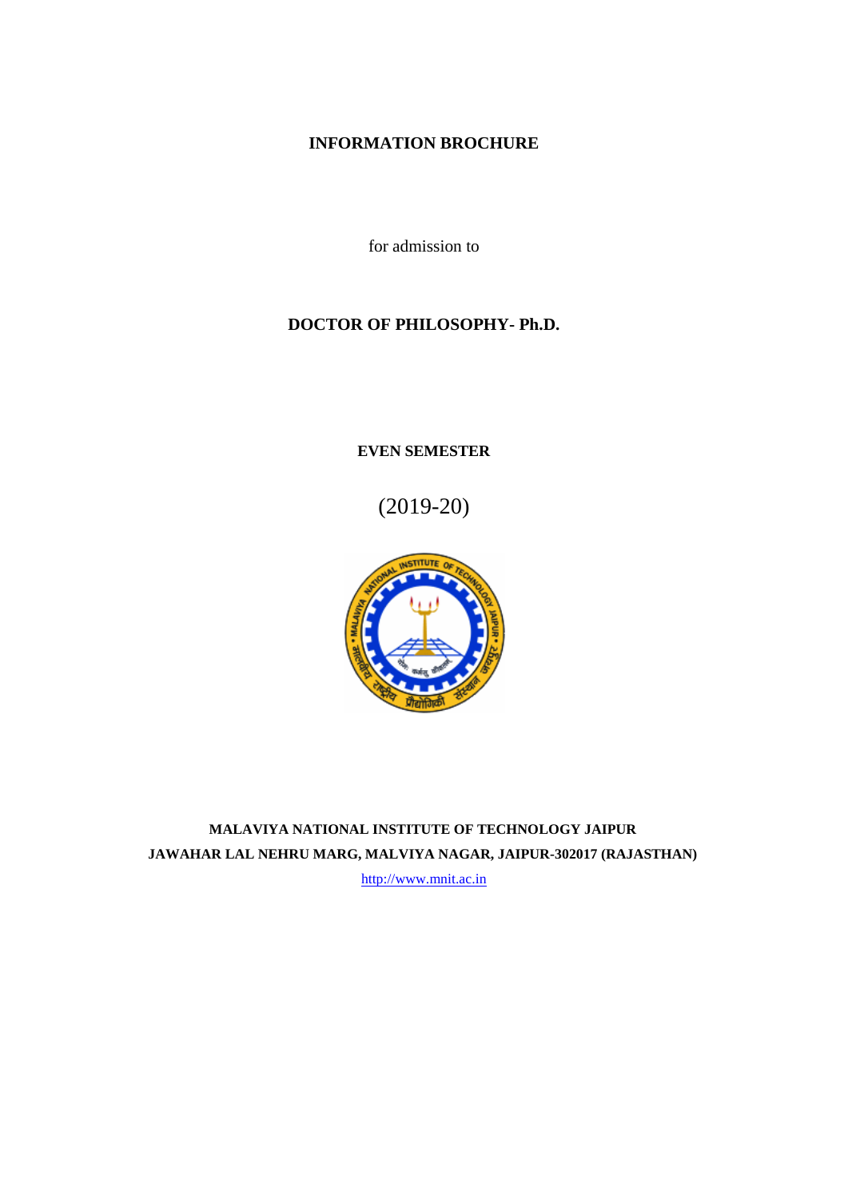# **INFORMATION BROCHURE**

for admission to

# **DOCTOR OF PHILOSOPHY- Ph.D.**

**EVEN SEMESTER**

(2019-20)



**MALAVIYA NATIONAL INSTITUTE OF TECHNOLOGY JAIPUR JAWAHAR LAL NEHRU MARG, MALVIYA NAGAR, JAIPUR-302017 (RAJASTHAN)**

[http://www.mnit.ac.in](http://www.mnit.ac.in/academic)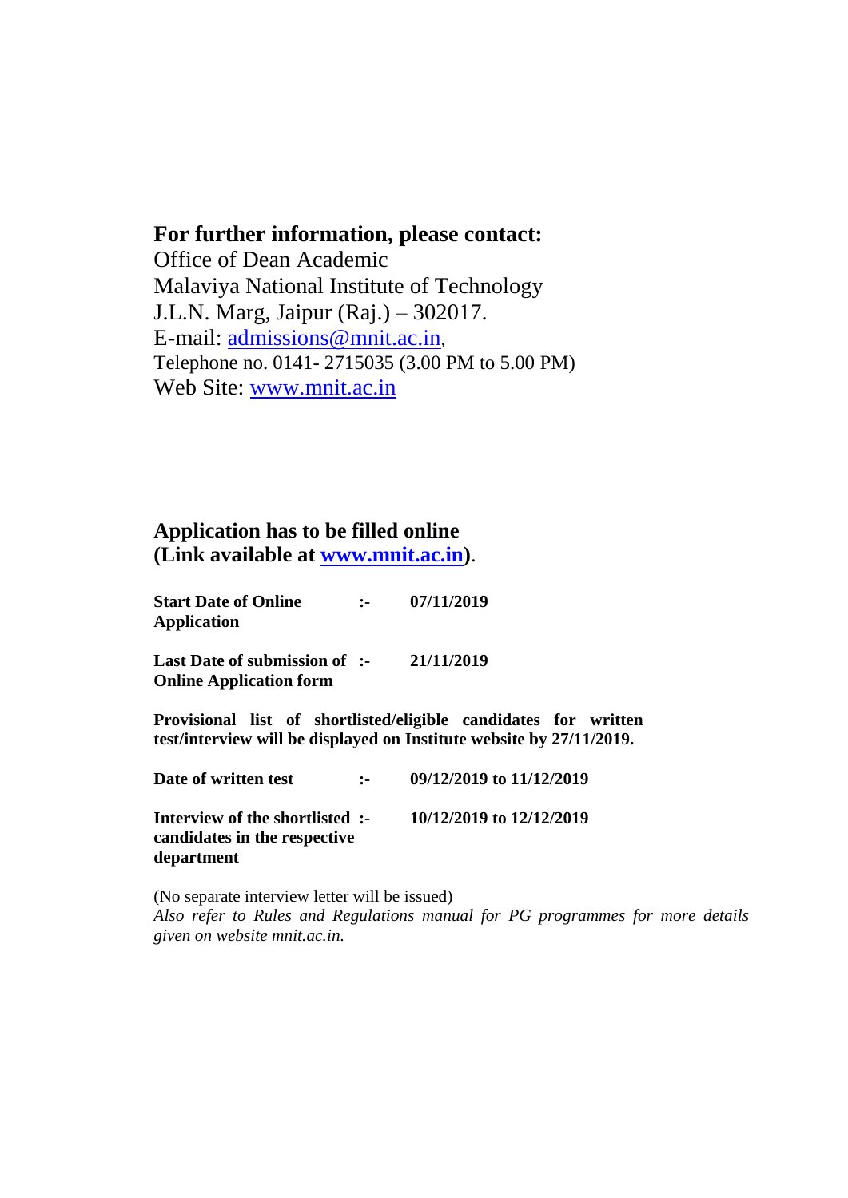# **For further information, please contact:**

Office of Dean Academic Malaviya National Institute of Technology J.L.N. Marg, Jaipur (Raj.) – 302017. E-mail: [admissions@mnit.ac.in](mailto:admissions@mnit.ac.in), Telephone no. 0141- 2715035 (3.00 PM to 5.00 PM) Web Site: [www.mnit.ac.in](http://www.mnit.ac.in/academic)

# **Application has to be filled online (Link available at [www.mnit.ac.in\)](http://www.mnit.ac.in/)**.

**Start Date of Online :- 07/11/2019 Application**

**Last Date of submission of :- 21/11/2019 Online Application form** 

**Provisional list of shortlisted/eligible candidates for written test/interview will be displayed on Institute website by 27/11/2019.**

**Date of written test :- 09/12/2019 to 11/12/2019 Interview of the shortlisted :- 10/12/2019 to 12/12/2019 candidates in the respective department**

(No separate interview letter will be issued) *Also refer to Rules and Regulations manual for PG programmes for more details given on website mnit.ac.in.*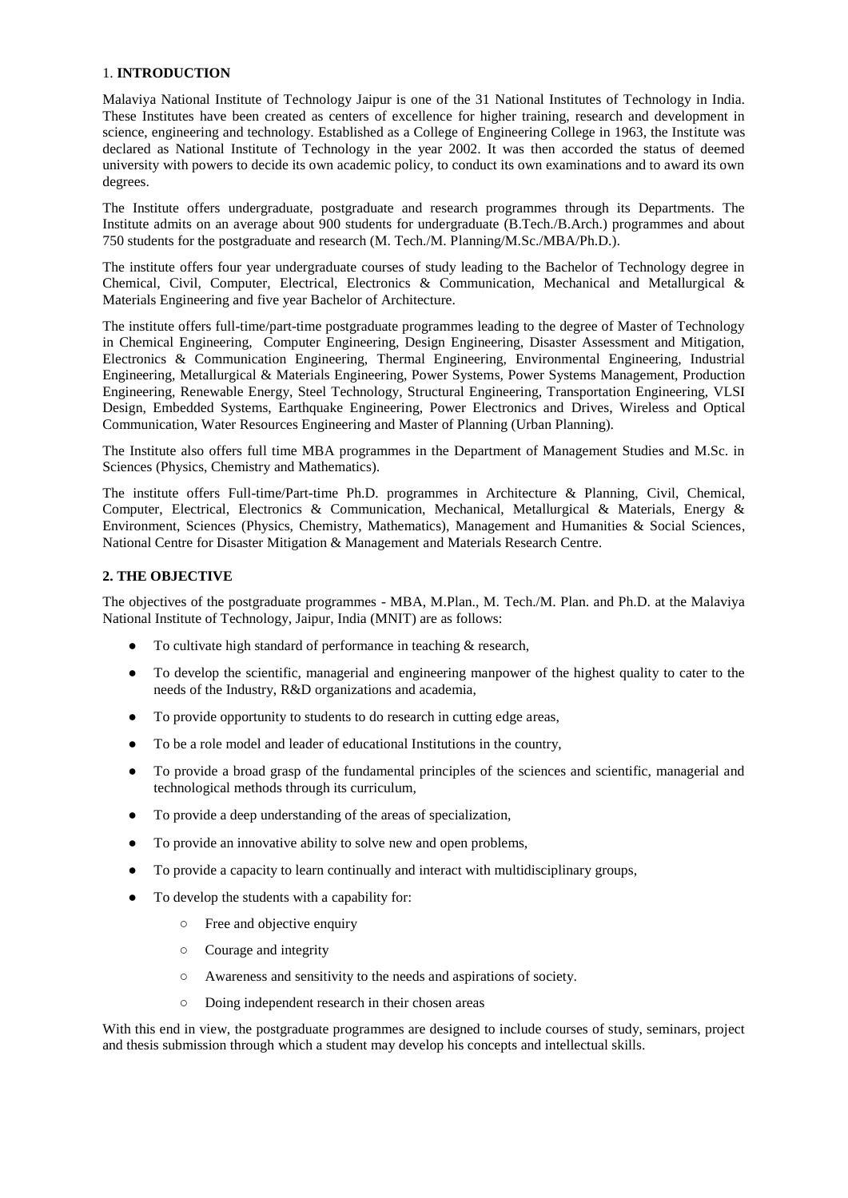## 1. **INTRODUCTION**

Malaviya National Institute of Technology Jaipur is one of the 31 National Institutes of Technology in India. These Institutes have been created as centers of excellence for higher training, research and development in science, engineering and technology. Established as a College of Engineering College in 1963, the Institute was declared as National Institute of Technology in the year 2002. It was then accorded the status of deemed university with powers to decide its own academic policy, to conduct its own examinations and to award its own degrees.

The Institute offers undergraduate, postgraduate and research programmes through its Departments. The Institute admits on an average about 900 students for undergraduate (B.Tech./B.Arch.) programmes and about 750 students for the postgraduate and research (M. Tech./M. Planning/M.Sc./MBA/Ph.D.).

The institute offers four year undergraduate courses of study leading to the Bachelor of Technology degree in Chemical, Civil, Computer, Electrical, Electronics & Communication, Mechanical and Metallurgical & Materials Engineering and five year Bachelor of Architecture.

The institute offers full-time/part-time postgraduate programmes leading to the degree of Master of Technology in Chemical Engineering, Computer Engineering, Design Engineering, Disaster Assessment and Mitigation, Electronics & Communication Engineering, Thermal Engineering, Environmental Engineering, Industrial Engineering, Metallurgical & Materials Engineering, Power Systems, Power Systems Management, Production Engineering, Renewable Energy, Steel Technology, Structural Engineering, Transportation Engineering, VLSI Design, Embedded Systems, Earthquake Engineering, Power Electronics and Drives, Wireless and Optical Communication, Water Resources Engineering and Master of Planning (Urban Planning).

The Institute also offers full time MBA programmes in the Department of Management Studies and M.Sc. in Sciences (Physics, Chemistry and Mathematics).

The institute offers Full-time/Part-time Ph.D. programmes in Architecture & Planning, Civil, Chemical, Computer, Electrical, Electronics & Communication, Mechanical, Metallurgical & Materials, Energy & Environment, Sciences (Physics, Chemistry, Mathematics), Management and Humanities & Social Sciences, National Centre for Disaster Mitigation & Management and Materials Research Centre.

#### **2. THE OBJECTIVE**

The objectives of the postgraduate programmes - MBA, M.Plan., M. Tech./M. Plan. and Ph.D. at the Malaviya National Institute of Technology, Jaipur, India (MNIT) are as follows:

- To cultivate high standard of performance in teaching & research,
- To develop the scientific, managerial and engineering manpower of the highest quality to cater to the needs of the Industry, R&D organizations and academia,
- To provide opportunity to students to do research in cutting edge areas,
- To be a role model and leader of educational Institutions in the country,
- To provide a broad grasp of the fundamental principles of the sciences and scientific, managerial and technological methods through its curriculum,
- To provide a deep understanding of the areas of specialization,
- To provide an innovative ability to solve new and open problems,
- To provide a capacity to learn continually and interact with multidisciplinary groups,
- To develop the students with a capability for:
	- Free and objective enquiry
	- Courage and integrity
	- Awareness and sensitivity to the needs and aspirations of society.
	- Doing independent research in their chosen areas

With this end in view, the postgraduate programmes are designed to include courses of study, seminars, project and thesis submission through which a student may develop his concepts and intellectual skills.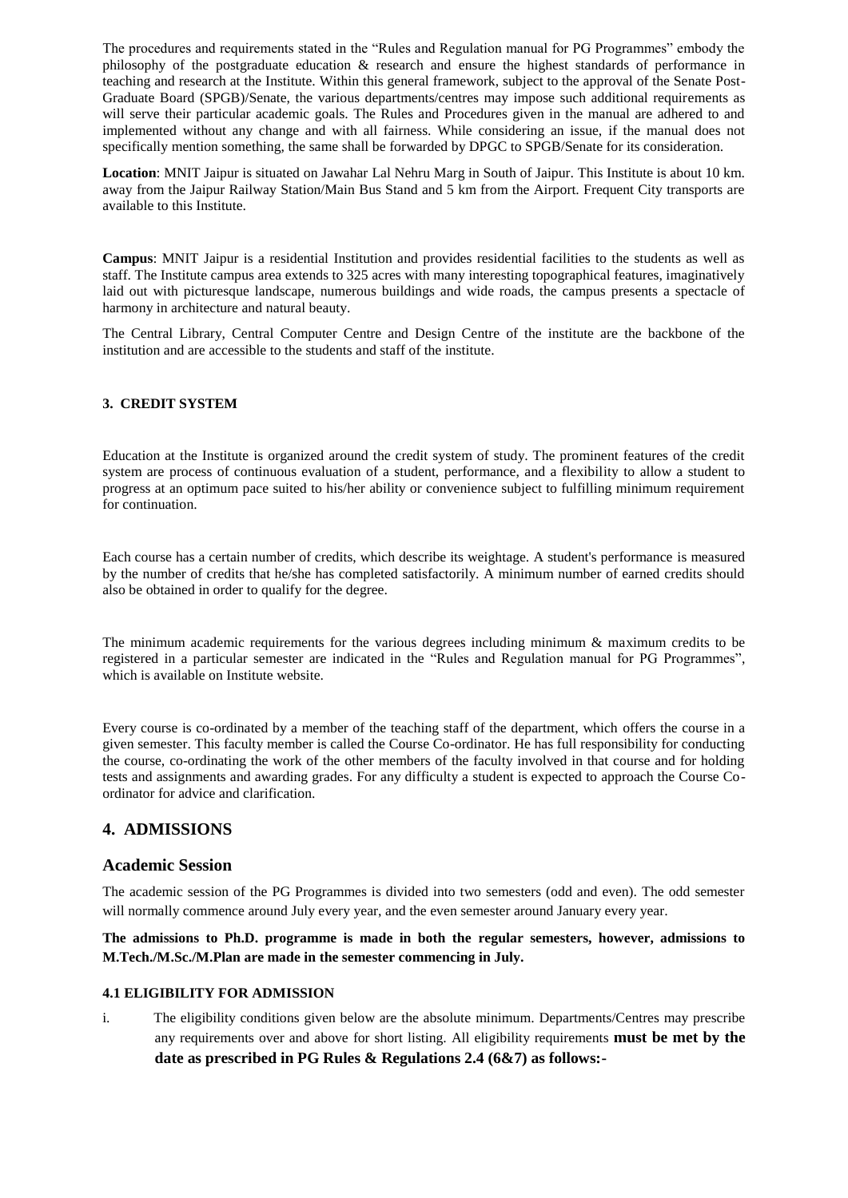The procedures and requirements stated in the "Rules and Regulation manual for PG Programmes" embody the philosophy of the postgraduate education & research and ensure the highest standards of performance in teaching and research at the Institute. Within this general framework, subject to the approval of the Senate Post-Graduate Board (SPGB)/Senate, the various departments/centres may impose such additional requirements as will serve their particular academic goals. The Rules and Procedures given in the manual are adhered to and implemented without any change and with all fairness. While considering an issue, if the manual does not specifically mention something, the same shall be forwarded by DPGC to SPGB/Senate for its consideration.

**Location**: MNIT Jaipur is situated on Jawahar Lal Nehru Marg in South of Jaipur. This Institute is about 10 km. away from the Jaipur Railway Station/Main Bus Stand and 5 km from the Airport. Frequent City transports are available to this Institute.

**Campus**: MNIT Jaipur is a residential Institution and provides residential facilities to the students as well as staff. The Institute campus area extends to 325 acres with many interesting topographical features, imaginatively laid out with picturesque landscape, numerous buildings and wide roads, the campus presents a spectacle of harmony in architecture and natural beauty.

The Central Library, Central Computer Centre and Design Centre of the institute are the backbone of the institution and are accessible to the students and staff of the institute.

# **3. CREDIT SYSTEM**

Education at the Institute is organized around the credit system of study. The prominent features of the credit system are process of continuous evaluation of a student, performance, and a flexibility to allow a student to progress at an optimum pace suited to his/her ability or convenience subject to fulfilling minimum requirement for continuation.

Each course has a certain number of credits, which describe its weightage. A student's performance is measured by the number of credits that he/she has completed satisfactorily. A minimum number of earned credits should also be obtained in order to qualify for the degree.

The minimum academic requirements for the various degrees including minimum & maximum credits to be registered in a particular semester are indicated in the "Rules and Regulation manual for PG Programmes", which is available on Institute website.

Every course is co-ordinated by a member of the teaching staff of the department, which offers the course in a given semester. This faculty member is called the Course Co-ordinator. He has full responsibility for conducting the course, co-ordinating the work of the other members of the faculty involved in that course and for holding tests and assignments and awarding grades. For any difficulty a student is expected to approach the Course Coordinator for advice and clarification.

# **4. ADMISSIONS**

# **Academic Session**

The academic session of the PG Programmes is divided into two semesters (odd and even). The odd semester will normally commence around July every year, and the even semester around January every year.

**The admissions to Ph.D. programme is made in both the regular semesters, however, admissions to M.Tech./M.Sc./M.Plan are made in the semester commencing in July.**

## **4.1 ELIGIBILITY FOR ADMISSION**

i. The eligibility conditions given below are the absolute minimum. Departments/Centres may prescribe any requirements over and above for short listing. All eligibility requirements **must be met by the date as prescribed in PG Rules & Regulations 2.4 (6&7) as follows:-**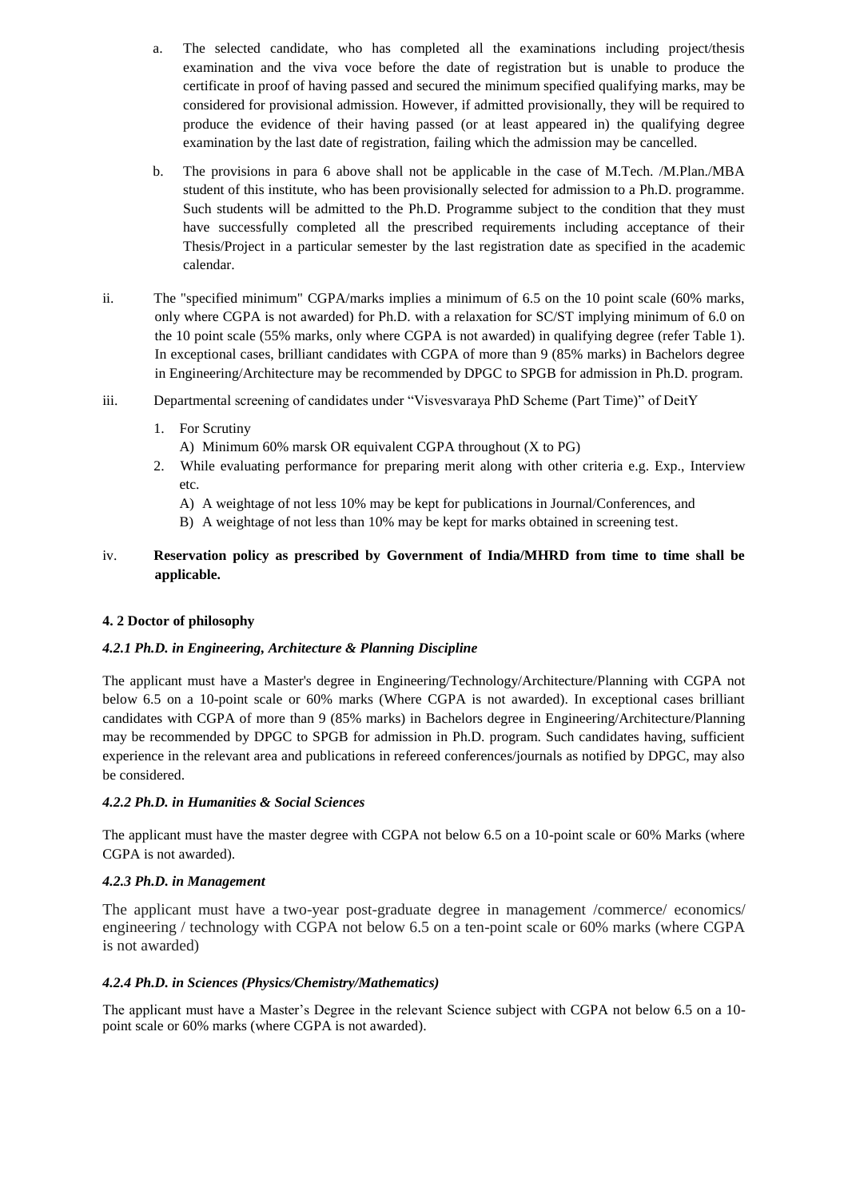- a. The selected candidate, who has completed all the examinations including project/thesis examination and the viva voce before the date of registration but is unable to produce the certificate in proof of having passed and secured the minimum specified qualifying marks, may be considered for provisional admission. However, if admitted provisionally, they will be required to produce the evidence of their having passed (or at least appeared in) the qualifying degree examination by the last date of registration, failing which the admission may be cancelled.
- b. The provisions in para 6 above shall not be applicable in the case of M.Tech. /M.Plan./MBA student of this institute, who has been provisionally selected for admission to a Ph.D. programme. Such students will be admitted to the Ph.D. Programme subject to the condition that they must have successfully completed all the prescribed requirements including acceptance of their Thesis/Project in a particular semester by the last registration date as specified in the academic calendar.
- ii. The "specified minimum" CGPA/marks implies a minimum of 6.5 on the 10 point scale (60% marks, only where CGPA is not awarded) for Ph.D. with a relaxation for SC/ST implying minimum of 6.0 on the 10 point scale (55% marks, only where CGPA is not awarded) in qualifying degree (refer Table 1). In exceptional cases, brilliant candidates with CGPA of more than 9 (85% marks) in Bachelors degree in Engineering/Architecture may be recommended by DPGC to SPGB for admission in Ph.D. program.
- iii. Departmental screening of candidates under "Visvesvaraya PhD Scheme (Part Time)" of DeitY
	- 1. For Scrutiny
		- A) Minimum 60% marsk OR equivalent CGPA throughout (X to PG)
	- 2. While evaluating performance for preparing merit along with other criteria e.g. Exp., Interview etc.
		- A) A weightage of not less 10% may be kept for publications in Journal/Conferences, and
		- B) A weightage of not less than 10% may be kept for marks obtained in screening test.

# iv. **Reservation policy as prescribed by Government of India/MHRD from time to time shall be applicable.**

## **4. 2 Doctor of philosophy**

## *4.2.1 Ph.D. in Engineering, Architecture & Planning Discipline*

The applicant must have a Master's degree in Engineering/Technology/Architecture/Planning with CGPA not below 6.5 on a 10-point scale or 60% marks (Where CGPA is not awarded). In exceptional cases brilliant candidates with CGPA of more than 9 (85% marks) in Bachelors degree in Engineering/Architecture/Planning may be recommended by DPGC to SPGB for admission in Ph.D. program. Such candidates having, sufficient experience in the relevant area and publications in refereed conferences/journals as notified by DPGC, may also be considered.

# *4.2.2 Ph.D. in Humanities & Social Sciences*

The applicant must have the master degree with CGPA not below 6.5 on a 10-point scale or 60% Marks (where CGPA is not awarded).

## *4.2.3 Ph.D. in Management*

The applicant must have a two-year post-graduate degree in management /commerce/ economics/ engineering / technology with CGPA not below 6.5 on a ten-point scale or 60% marks (where CGPA is not awarded)

## *4.2.4 Ph.D. in Sciences (Physics/Chemistry/Mathematics)*

The applicant must have a Master's Degree in the relevant Science subject with CGPA not below 6.5 on a 10 point scale or 60% marks (where CGPA is not awarded).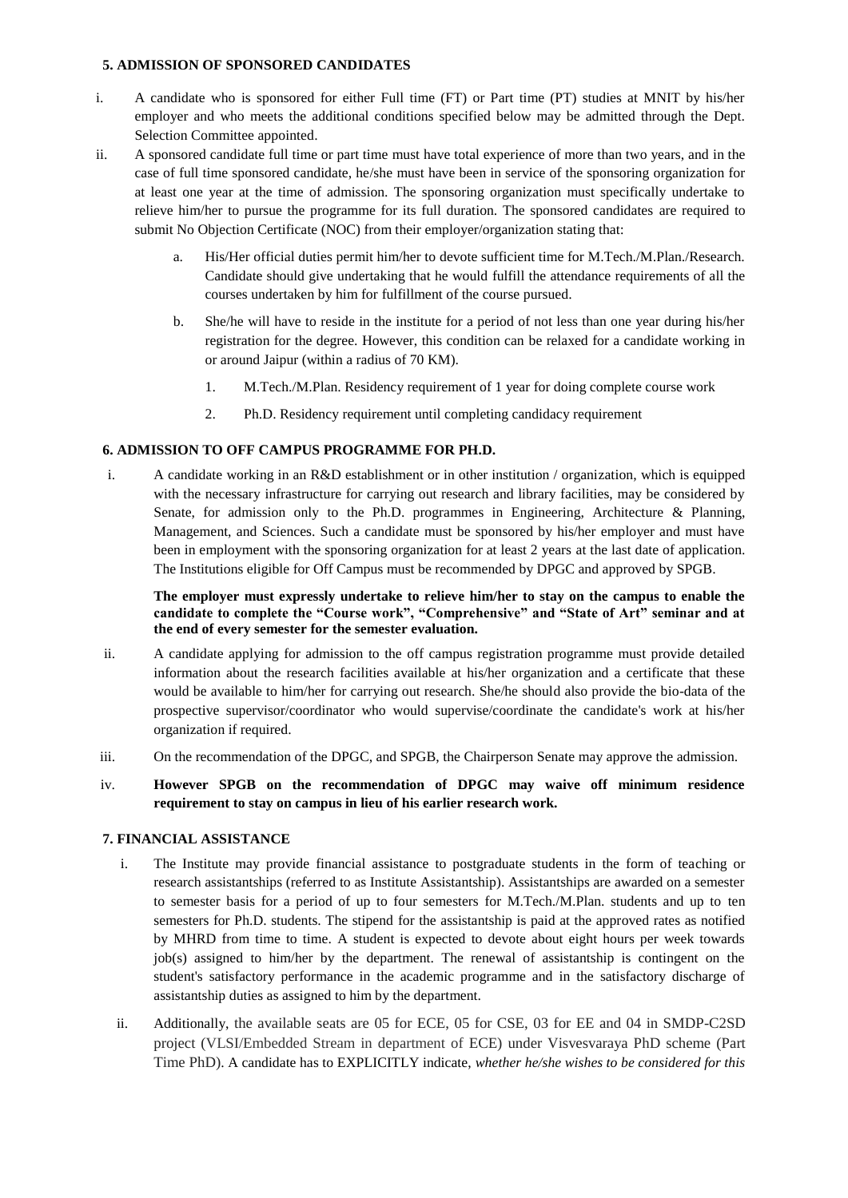# **5. ADMISSION OF SPONSORED CANDIDATES**

- i. A candidate who is sponsored for either Full time (FT) or Part time (PT) studies at MNIT by his/her employer and who meets the additional conditions specified below may be admitted through the Dept. Selection Committee appointed.
- ii. A sponsored candidate full time or part time must have total experience of more than two years, and in the case of full time sponsored candidate, he/she must have been in service of the sponsoring organization for at least one year at the time of admission. The sponsoring organization must specifically undertake to relieve him/her to pursue the programme for its full duration. The sponsored candidates are required to submit No Objection Certificate (NOC) from their employer/organization stating that:
	- a. His/Her official duties permit him/her to devote sufficient time for M.Tech./M.Plan./Research. Candidate should give undertaking that he would fulfill the attendance requirements of all the courses undertaken by him for fulfillment of the course pursued.
	- b. She/he will have to reside in the institute for a period of not less than one year during his/her registration for the degree. However, this condition can be relaxed for a candidate working in or around Jaipur (within a radius of 70 KM).
		- 1. M.Tech./M.Plan. Residency requirement of 1 year for doing complete course work
		- 2. Ph.D. Residency requirement until completing candidacy requirement

# **6. ADMISSION TO OFF CAMPUS PROGRAMME FOR PH.D.**

i. A candidate working in an R&D establishment or in other institution / organization, which is equipped with the necessary infrastructure for carrying out research and library facilities, may be considered by Senate, for admission only to the Ph.D. programmes in Engineering, Architecture & Planning, Management, and Sciences. Such a candidate must be sponsored by his/her employer and must have been in employment with the sponsoring organization for at least 2 years at the last date of application. The Institutions eligible for Off Campus must be recommended by DPGC and approved by SPGB.

# **The employer must expressly undertake to relieve him/her to stay on the campus to enable the candidate to complete the "Course work", "Comprehensive" and "State of Art" seminar and at the end of every semester for the semester evaluation.**

- ii. A candidate applying for admission to the off campus registration programme must provide detailed information about the research facilities available at his/her organization and a certificate that these would be available to him/her for carrying out research. She/he should also provide the bio-data of the prospective supervisor/coordinator who would supervise/coordinate the candidate's work at his/her organization if required.
- iii. On the recommendation of the DPGC, and SPGB, the Chairperson Senate may approve the admission.
- iv. **However SPGB on the recommendation of DPGC may waive off minimum residence requirement to stay on campus in lieu of his earlier research work.**

## **7. FINANCIAL ASSISTANCE**

- i. The Institute may provide financial assistance to postgraduate students in the form of teaching or research assistantships (referred to as Institute Assistantship). Assistantships are awarded on a semester to semester basis for a period of up to four semesters for M.Tech./M.Plan. students and up to ten semesters for Ph.D. students. The stipend for the assistantship is paid at the approved rates as notified by MHRD from time to time. A student is expected to devote about eight hours per week towards job(s) assigned to him/her by the department. The renewal of assistantship is contingent on the student's satisfactory performance in the academic programme and in the satisfactory discharge of assistantship duties as assigned to him by the department.
- ii. Additionally, the available seats are 05 for ECE, 05 for CSE, 03 for EE and 04 in SMDP-C2SD project (VLSI/Embedded Stream in department of ECE) under Visvesvaraya PhD scheme (Part Time PhD). A candidate has to EXPLICITLY indicate, *whether he/she wishes to be considered for this*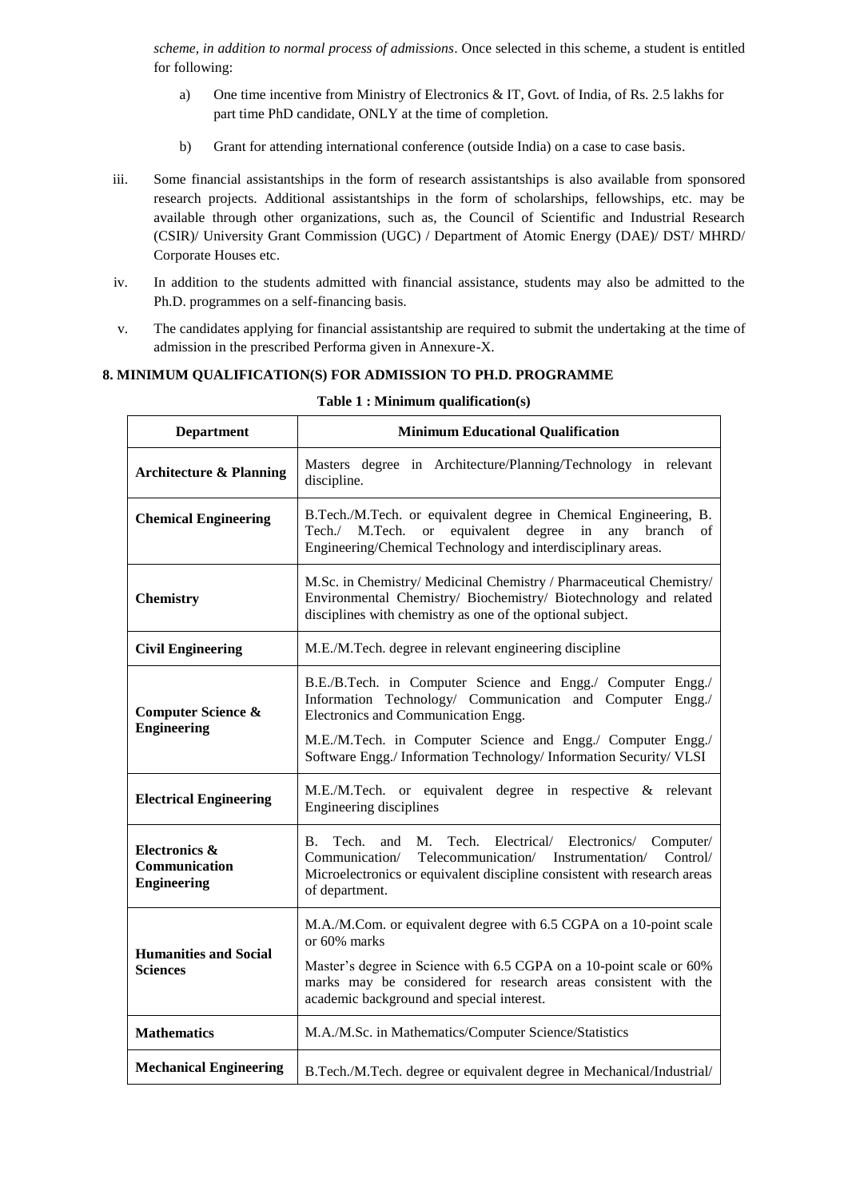*scheme, in addition to normal process of admissions*. Once selected in this scheme, a student is entitled for following:

- a) One time incentive from Ministry of Electronics & IT, Govt. of India, of Rs. 2.5 lakhs for part time PhD candidate, ONLY at the time of completion.
- b) Grant for attending international conference (outside India) on a case to case basis.
- iii. Some financial assistantships in the form of research assistantships is also available from sponsored research projects. Additional assistantships in the form of scholarships, fellowships, etc. may be available through other organizations, such as, the Council of Scientific and Industrial Research (CSIR)/ University Grant Commission (UGC) / Department of Atomic Energy (DAE)/ DST/ MHRD/ Corporate Houses etc.
- iv. In addition to the students admitted with financial assistance, students may also be admitted to the Ph.D. programmes on a self-financing basis.
- v. The candidates applying for financial assistantship are required to submit the undertaking at the time of admission in the prescribed Performa given in Annexure-X.

# **8. MINIMUM QUALIFICATION(S) FOR ADMISSION TO PH.D. PROGRAMME**

| <b>Department</b>                                    | <b>Minimum Educational Qualification</b>                                                                                                                                                                                                                                                             |  |  |
|------------------------------------------------------|------------------------------------------------------------------------------------------------------------------------------------------------------------------------------------------------------------------------------------------------------------------------------------------------------|--|--|
| <b>Architecture &amp; Planning</b>                   | Masters degree in Architecture/Planning/Technology in relevant<br>discipline.                                                                                                                                                                                                                        |  |  |
| <b>Chemical Engineering</b>                          | B.Tech./M.Tech. or equivalent degree in Chemical Engineering, B.<br>equivalent degree<br>Tech./ M.Tech.<br><sub>or</sub><br>in<br>any<br>branch<br>of<br>Engineering/Chemical Technology and interdisciplinary areas.                                                                                |  |  |
| <b>Chemistry</b>                                     | M.Sc. in Chemistry/ Medicinal Chemistry / Pharmaceutical Chemistry/<br>Environmental Chemistry/ Biochemistry/ Biotechnology and related<br>disciplines with chemistry as one of the optional subject.                                                                                                |  |  |
| <b>Civil Engineering</b>                             | M.E./M.Tech. degree in relevant engineering discipline                                                                                                                                                                                                                                               |  |  |
| <b>Computer Science &amp;</b><br><b>Engineering</b>  | B.E./B.Tech. in Computer Science and Engg./ Computer Engg./<br>Information Technology/ Communication and Computer Engg./<br>Electronics and Communication Engg.<br>M.E./M.Tech. in Computer Science and Engg./ Computer Engg./<br>Software Engg./ Information Technology/ Information Security/ VLSI |  |  |
| <b>Electrical Engineering</b>                        | M.E./M.Tech. or equivalent degree in respective & relevant<br>Engineering disciplines                                                                                                                                                                                                                |  |  |
| Electronics &<br>Communication<br><b>Engineering</b> | Tech.<br>Tech.<br>Electrical/ Electronics/<br><b>B.</b><br>and<br>М.<br>Computer/<br>Telecommunication/<br>Communication/<br>Instrumentation/<br>Control/<br>Microelectronics or equivalent discipline consistent with research areas<br>of department.                                              |  |  |
| <b>Humanities and Social</b><br><b>Sciences</b>      | M.A./M.Com. or equivalent degree with 6.5 CGPA on a 10-point scale<br>or 60% marks<br>Master's degree in Science with 6.5 CGPA on a 10-point scale or 60%<br>marks may be considered for research areas consistent with the<br>academic background and special interest.                             |  |  |
| <b>Mathematics</b>                                   | M.A./M.Sc. in Mathematics/Computer Science/Statistics                                                                                                                                                                                                                                                |  |  |
| <b>Mechanical Engineering</b>                        | B.Tech./M.Tech. degree or equivalent degree in Mechanical/Industrial/                                                                                                                                                                                                                                |  |  |

### **Table 1 : Minimum qualification(s)**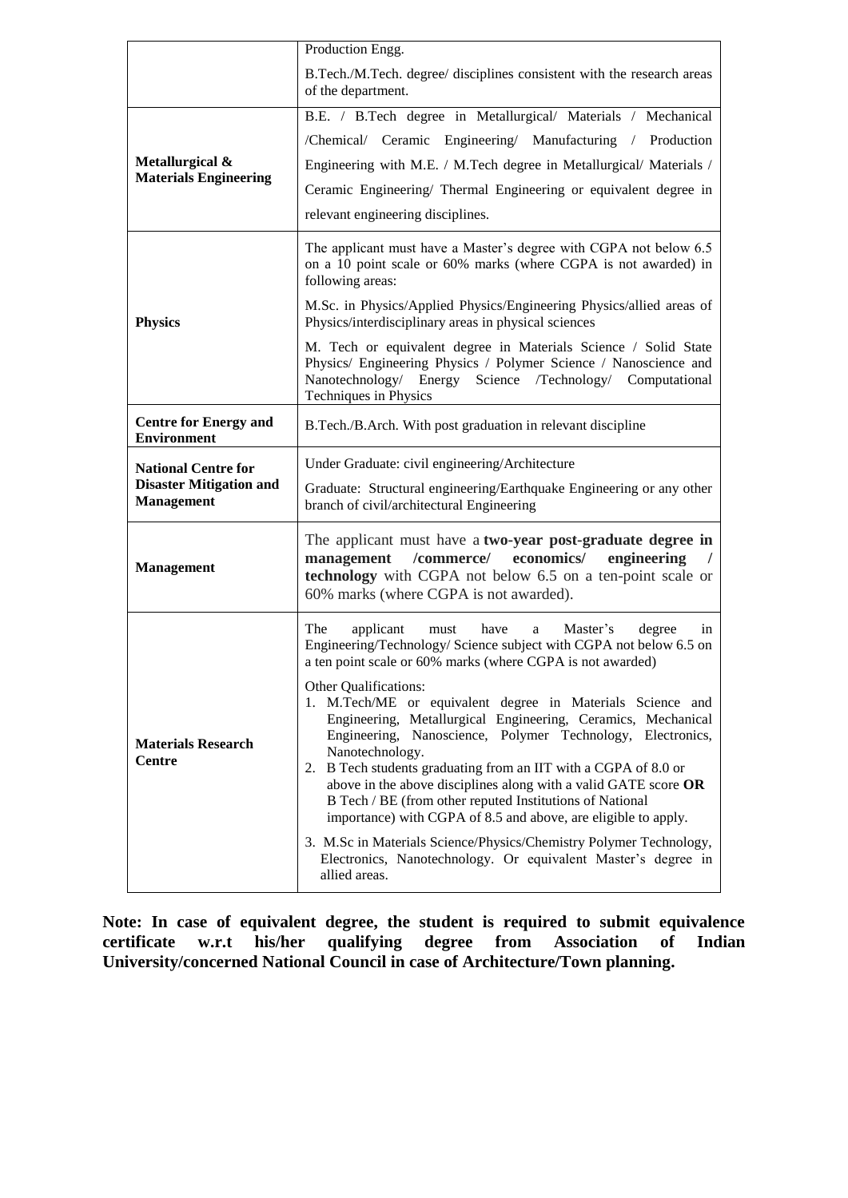|                                                     | Production Engg.                                                                                                                                                                                                                                                                                                                                                                                                                                                                                                                                                               |  |  |
|-----------------------------------------------------|--------------------------------------------------------------------------------------------------------------------------------------------------------------------------------------------------------------------------------------------------------------------------------------------------------------------------------------------------------------------------------------------------------------------------------------------------------------------------------------------------------------------------------------------------------------------------------|--|--|
|                                                     | B.Tech./M.Tech. degree/ disciplines consistent with the research areas<br>of the department.                                                                                                                                                                                                                                                                                                                                                                                                                                                                                   |  |  |
|                                                     | B.E. / B.Tech degree in Metallurgical/ Materials / Mechanical                                                                                                                                                                                                                                                                                                                                                                                                                                                                                                                  |  |  |
|                                                     | /Chemical/ Ceramic Engineering/ Manufacturing / Production                                                                                                                                                                                                                                                                                                                                                                                                                                                                                                                     |  |  |
| Metallurgical &<br><b>Materials Engineering</b>     | Engineering with M.E. / M.Tech degree in Metallurgical/ Materials /                                                                                                                                                                                                                                                                                                                                                                                                                                                                                                            |  |  |
|                                                     | Ceramic Engineering/ Thermal Engineering or equivalent degree in                                                                                                                                                                                                                                                                                                                                                                                                                                                                                                               |  |  |
|                                                     | relevant engineering disciplines.                                                                                                                                                                                                                                                                                                                                                                                                                                                                                                                                              |  |  |
|                                                     | The applicant must have a Master's degree with CGPA not below 6.5<br>on a 10 point scale or 60% marks (where CGPA is not awarded) in<br>following areas:                                                                                                                                                                                                                                                                                                                                                                                                                       |  |  |
| <b>Physics</b>                                      | M.Sc. in Physics/Applied Physics/Engineering Physics/allied areas of<br>Physics/interdisciplinary areas in physical sciences                                                                                                                                                                                                                                                                                                                                                                                                                                                   |  |  |
|                                                     | M. Tech or equivalent degree in Materials Science / Solid State<br>Physics/ Engineering Physics / Polymer Science / Nanoscience and<br>Nanotechnology/ Energy Science /Technology/ Computational<br>Techniques in Physics                                                                                                                                                                                                                                                                                                                                                      |  |  |
| <b>Centre for Energy and</b><br><b>Environment</b>  | B.Tech./B.Arch. With post graduation in relevant discipline                                                                                                                                                                                                                                                                                                                                                                                                                                                                                                                    |  |  |
| <b>National Centre for</b>                          | Under Graduate: civil engineering/Architecture                                                                                                                                                                                                                                                                                                                                                                                                                                                                                                                                 |  |  |
| <b>Disaster Mitigation and</b><br><b>Management</b> | Graduate: Structural engineering/Earthquake Engineering or any other<br>branch of civil/architectural Engineering                                                                                                                                                                                                                                                                                                                                                                                                                                                              |  |  |
| <b>Management</b>                                   | The applicant must have a two-year post-graduate degree in<br>management /commerce/ economics/<br>engineering<br>technology with CGPA not below 6.5 on a ten-point scale or<br>60% marks (where CGPA is not awarded).                                                                                                                                                                                                                                                                                                                                                          |  |  |
|                                                     | The<br>applicant<br>Master's<br>degree<br>have<br>in<br>must<br>a<br>Engineering/Technology/ Science subject with CGPA not below 6.5 on<br>a ten point scale or 60% marks (where CGPA is not awarded)                                                                                                                                                                                                                                                                                                                                                                          |  |  |
| <b>Materials Research</b><br><b>Centre</b>          | Other Qualifications:<br>1. M.Tech/ME or equivalent degree in Materials Science and<br>Engineering, Metallurgical Engineering, Ceramics, Mechanical<br>Engineering, Nanoscience, Polymer Technology, Electronics,<br>Nanotechnology.<br>2. B Tech students graduating from an IIT with a CGPA of 8.0 or<br>above in the above disciplines along with a valid GATE score OR<br>B Tech / BE (from other reputed Institutions of National<br>importance) with CGPA of 8.5 and above, are eligible to apply.<br>3. M.Sc in Materials Science/Physics/Chemistry Polymer Technology, |  |  |
|                                                     | Electronics, Nanotechnology. Or equivalent Master's degree in<br>allied areas.                                                                                                                                                                                                                                                                                                                                                                                                                                                                                                 |  |  |

**Note: In case of equivalent degree, the student is required to submit equivalence certificate w.r.t his/her qualifying degree from Association of Indian University/concerned National Council in case of Architecture/Town planning.**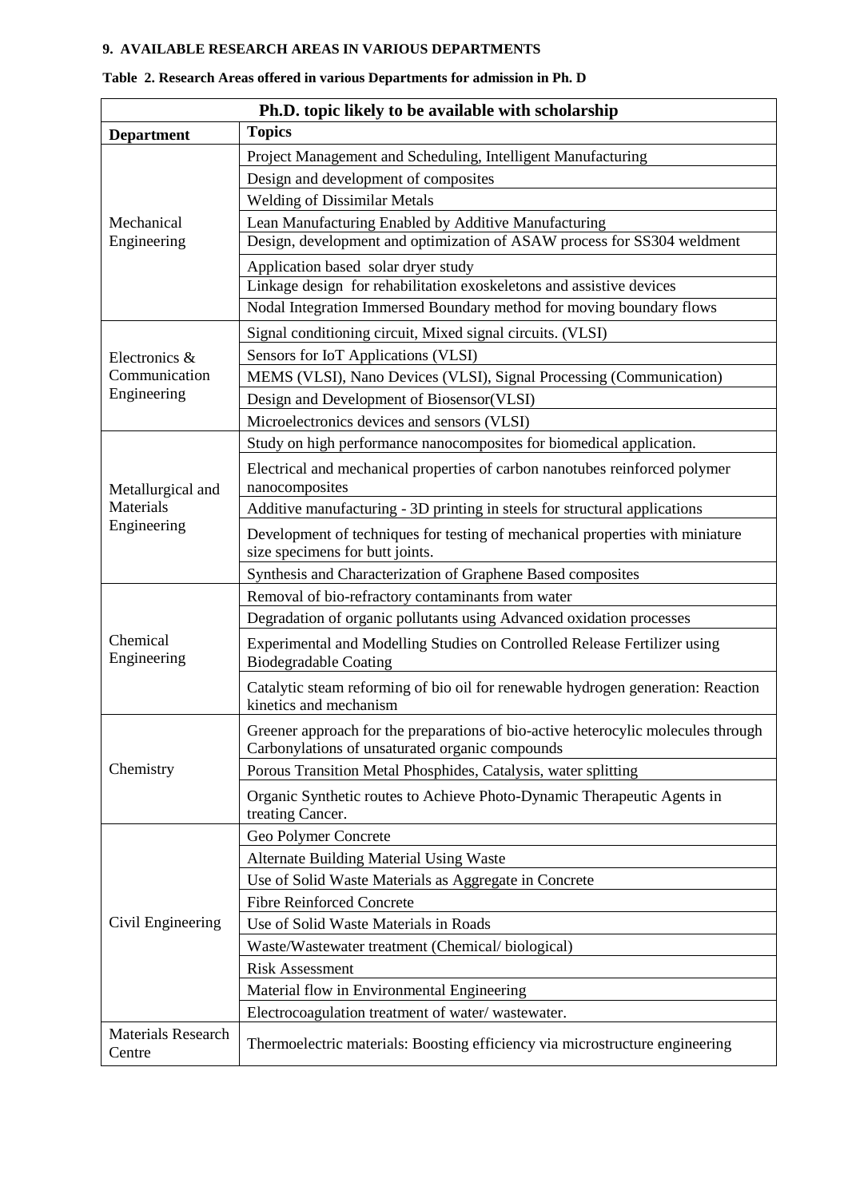# **9. AVAILABLE RESEARCH AREAS IN VARIOUS DEPARTMENTS**

| Ph.D. topic likely to be available with scholarship |                                                                                                                                      |  |
|-----------------------------------------------------|--------------------------------------------------------------------------------------------------------------------------------------|--|
| <b>Department</b>                                   | <b>Topics</b>                                                                                                                        |  |
|                                                     | Project Management and Scheduling, Intelligent Manufacturing                                                                         |  |
|                                                     | Design and development of composites                                                                                                 |  |
|                                                     | <b>Welding of Dissimilar Metals</b>                                                                                                  |  |
| Mechanical                                          | Lean Manufacturing Enabled by Additive Manufacturing                                                                                 |  |
| Engineering                                         | Design, development and optimization of ASAW process for SS304 weldment                                                              |  |
|                                                     | Application based solar dryer study                                                                                                  |  |
|                                                     | Linkage design for rehabilitation exoskeletons and assistive devices                                                                 |  |
|                                                     | Nodal Integration Immersed Boundary method for moving boundary flows                                                                 |  |
|                                                     | Signal conditioning circuit, Mixed signal circuits. (VLSI)                                                                           |  |
| Electronics &                                       | Sensors for IoT Applications (VLSI)                                                                                                  |  |
| Communication                                       | MEMS (VLSI), Nano Devices (VLSI), Signal Processing (Communication)                                                                  |  |
| Engineering                                         | Design and Development of Biosensor(VLSI)                                                                                            |  |
|                                                     | Microelectronics devices and sensors (VLSI)                                                                                          |  |
|                                                     | Study on high performance nanocomposites for biomedical application.                                                                 |  |
| Metallurgical and                                   | Electrical and mechanical properties of carbon nanotubes reinforced polymer<br>nanocomposites                                        |  |
| Materials                                           | Additive manufacturing - 3D printing in steels for structural applications                                                           |  |
| Engineering                                         | Development of techniques for testing of mechanical properties with miniature<br>size specimens for butt joints.                     |  |
|                                                     | Synthesis and Characterization of Graphene Based composites                                                                          |  |
|                                                     | Removal of bio-refractory contaminants from water                                                                                    |  |
|                                                     | Degradation of organic pollutants using Advanced oxidation processes                                                                 |  |
| Chemical<br>Engineering                             | Experimental and Modelling Studies on Controlled Release Fertilizer using<br><b>Biodegradable Coating</b>                            |  |
|                                                     | Catalytic steam reforming of bio oil for renewable hydrogen generation: Reaction<br>kinetics and mechanism                           |  |
|                                                     | Greener approach for the preparations of bio-active heterocylic molecules through<br>Carbonylations of unsaturated organic compounds |  |
| Chemistry                                           | Porous Transition Metal Phosphides, Catalysis, water splitting                                                                       |  |
|                                                     | Organic Synthetic routes to Achieve Photo-Dynamic Therapeutic Agents in<br>treating Cancer.                                          |  |
|                                                     | Geo Polymer Concrete                                                                                                                 |  |
|                                                     | <b>Alternate Building Material Using Waste</b>                                                                                       |  |
| Civil Engineering                                   | Use of Solid Waste Materials as Aggregate in Concrete                                                                                |  |
|                                                     | <b>Fibre Reinforced Concrete</b>                                                                                                     |  |
|                                                     | Use of Solid Waste Materials in Roads                                                                                                |  |
|                                                     | Waste/Wastewater treatment (Chemical/biological)                                                                                     |  |
|                                                     | <b>Risk Assessment</b>                                                                                                               |  |
|                                                     | Material flow in Environmental Engineering                                                                                           |  |
|                                                     | Electrocoagulation treatment of water/wastewater.                                                                                    |  |
| <b>Materials Research</b><br>Centre                 | Thermoelectric materials: Boosting efficiency via microstructure engineering                                                         |  |

# **Table 2. Research Areas offered in various Departments for admission in Ph. D**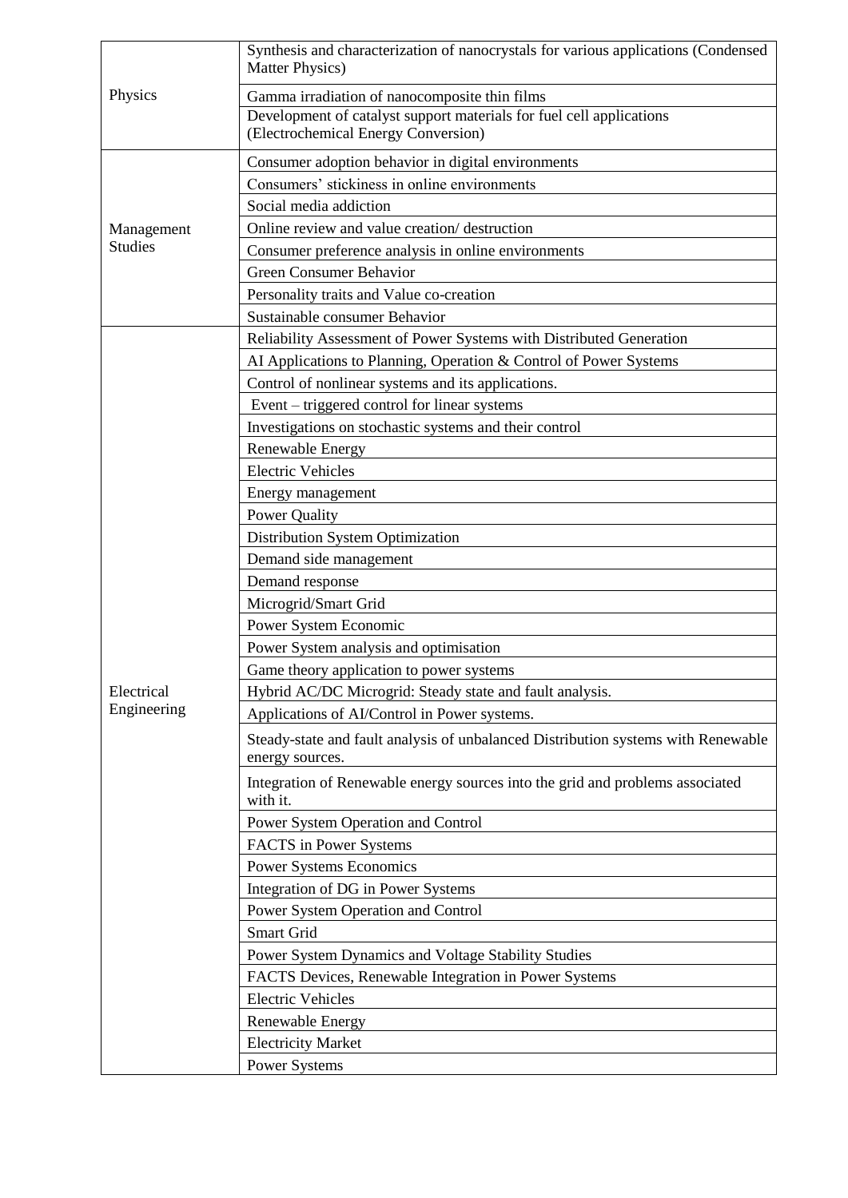|                | Synthesis and characterization of nanocrystals for various applications (Condensed<br><b>Matter Physics</b> ) |
|----------------|---------------------------------------------------------------------------------------------------------------|
| Physics        | Gamma irradiation of nanocomposite thin films                                                                 |
|                | Development of catalyst support materials for fuel cell applications<br>(Electrochemical Energy Conversion)   |
|                | Consumer adoption behavior in digital environments                                                            |
|                | Consumers' stickiness in online environments                                                                  |
|                | Social media addiction                                                                                        |
| Management     | Online review and value creation/destruction                                                                  |
| <b>Studies</b> | Consumer preference analysis in online environments                                                           |
|                | <b>Green Consumer Behavior</b>                                                                                |
|                | Personality traits and Value co-creation                                                                      |
|                | Sustainable consumer Behavior                                                                                 |
|                | Reliability Assessment of Power Systems with Distributed Generation                                           |
|                | AI Applications to Planning, Operation & Control of Power Systems                                             |
|                | Control of nonlinear systems and its applications.                                                            |
|                | Event – triggered control for linear systems                                                                  |
|                | Investigations on stochastic systems and their control                                                        |
|                | <b>Renewable Energy</b>                                                                                       |
|                | <b>Electric Vehicles</b>                                                                                      |
|                | Energy management                                                                                             |
|                | <b>Power Quality</b>                                                                                          |
|                | Distribution System Optimization                                                                              |
|                | Demand side management                                                                                        |
|                | Demand response                                                                                               |
|                | Microgrid/Smart Grid                                                                                          |
|                | Power System Economic                                                                                         |
|                | Power System analysis and optimisation                                                                        |
|                | Game theory application to power systems                                                                      |
| Electrical     | Hybrid AC/DC Microgrid: Steady state and fault analysis.                                                      |
| Engineering    | Applications of AI/Control in Power systems.                                                                  |
|                | Steady-state and fault analysis of unbalanced Distribution systems with Renewable<br>energy sources.          |
|                | Integration of Renewable energy sources into the grid and problems associated<br>with it.                     |
|                | Power System Operation and Control                                                                            |
|                | FACTS in Power Systems                                                                                        |
|                | <b>Power Systems Economics</b>                                                                                |
|                | Integration of DG in Power Systems                                                                            |
|                | Power System Operation and Control                                                                            |
|                | Smart Grid                                                                                                    |
|                | Power System Dynamics and Voltage Stability Studies                                                           |
|                | FACTS Devices, Renewable Integration in Power Systems                                                         |
|                | <b>Electric Vehicles</b>                                                                                      |
|                | Renewable Energy                                                                                              |
|                | <b>Electricity Market</b>                                                                                     |
|                | <b>Power Systems</b>                                                                                          |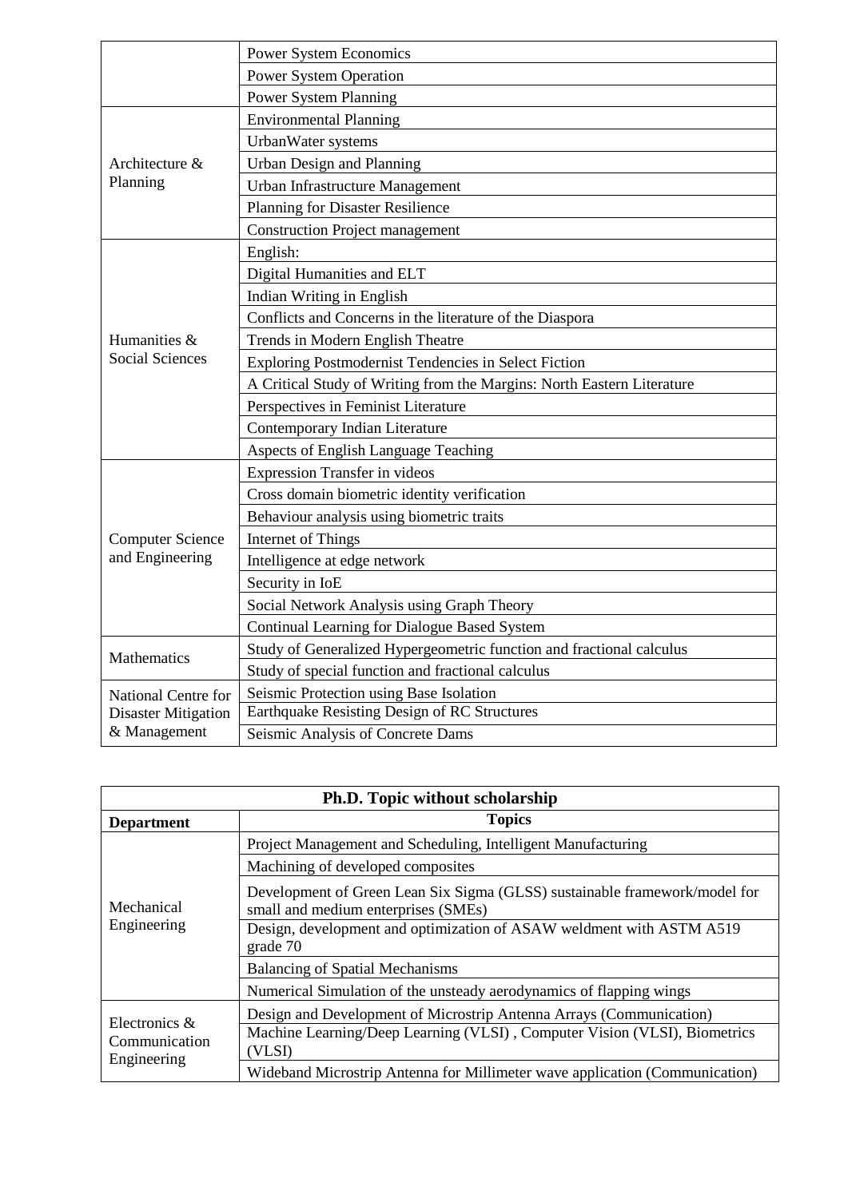|                            | Power System Economics                                                 |  |  |
|----------------------------|------------------------------------------------------------------------|--|--|
|                            | <b>Power System Operation</b>                                          |  |  |
|                            | <b>Power System Planning</b>                                           |  |  |
|                            | <b>Environmental Planning</b>                                          |  |  |
|                            | UrbanWater systems                                                     |  |  |
| Architecture &             | Urban Design and Planning                                              |  |  |
| Planning                   | Urban Infrastructure Management                                        |  |  |
|                            | Planning for Disaster Resilience                                       |  |  |
|                            | <b>Construction Project management</b>                                 |  |  |
|                            | English:                                                               |  |  |
|                            | Digital Humanities and ELT                                             |  |  |
|                            | Indian Writing in English                                              |  |  |
|                            | Conflicts and Concerns in the literature of the Diaspora               |  |  |
| Humanities &               | Trends in Modern English Theatre                                       |  |  |
| <b>Social Sciences</b>     | Exploring Postmodernist Tendencies in Select Fiction                   |  |  |
|                            | A Critical Study of Writing from the Margins: North Eastern Literature |  |  |
|                            | Perspectives in Feminist Literature                                    |  |  |
|                            | Contemporary Indian Literature                                         |  |  |
|                            | Aspects of English Language Teaching                                   |  |  |
|                            | <b>Expression Transfer in videos</b>                                   |  |  |
|                            | Cross domain biometric identity verification                           |  |  |
|                            | Behaviour analysis using biometric traits                              |  |  |
| <b>Computer Science</b>    | Internet of Things                                                     |  |  |
| and Engineering            | Intelligence at edge network                                           |  |  |
|                            | Security in IoE                                                        |  |  |
|                            | Social Network Analysis using Graph Theory                             |  |  |
|                            | Continual Learning for Dialogue Based System                           |  |  |
| Mathematics                | Study of Generalized Hypergeometric function and fractional calculus   |  |  |
|                            | Study of special function and fractional calculus                      |  |  |
| National Centre for        | Seismic Protection using Base Isolation                                |  |  |
| <b>Disaster Mitigation</b> | Earthquake Resisting Design of RC Structures                           |  |  |
| & Management               | Seismic Analysis of Concrete Dams                                      |  |  |

| Ph.D. Topic without scholarship |                                                                                                                   |  |  |
|---------------------------------|-------------------------------------------------------------------------------------------------------------------|--|--|
| <b>Department</b>               | <b>Topics</b>                                                                                                     |  |  |
|                                 | Project Management and Scheduling, Intelligent Manufacturing                                                      |  |  |
| Mechanical<br>Engineering       | Machining of developed composites                                                                                 |  |  |
|                                 | Development of Green Lean Six Sigma (GLSS) sustainable framework/model for<br>small and medium enterprises (SMEs) |  |  |
|                                 | Design, development and optimization of ASAW weldment with ASTM A519<br>grade 70                                  |  |  |
|                                 | <b>Balancing of Spatial Mechanisms</b>                                                                            |  |  |
|                                 | Numerical Simulation of the unsteady aerodynamics of flapping wings                                               |  |  |
| Electronics $\&$                | Design and Development of Microstrip Antenna Arrays (Communication)                                               |  |  |
| Communication                   | Machine Learning/Deep Learning (VLSI), Computer Vision (VLSI), Biometrics<br>(VLSI)                               |  |  |
| Engineering                     | Wideband Microstrip Antenna for Millimeter wave application (Communication)                                       |  |  |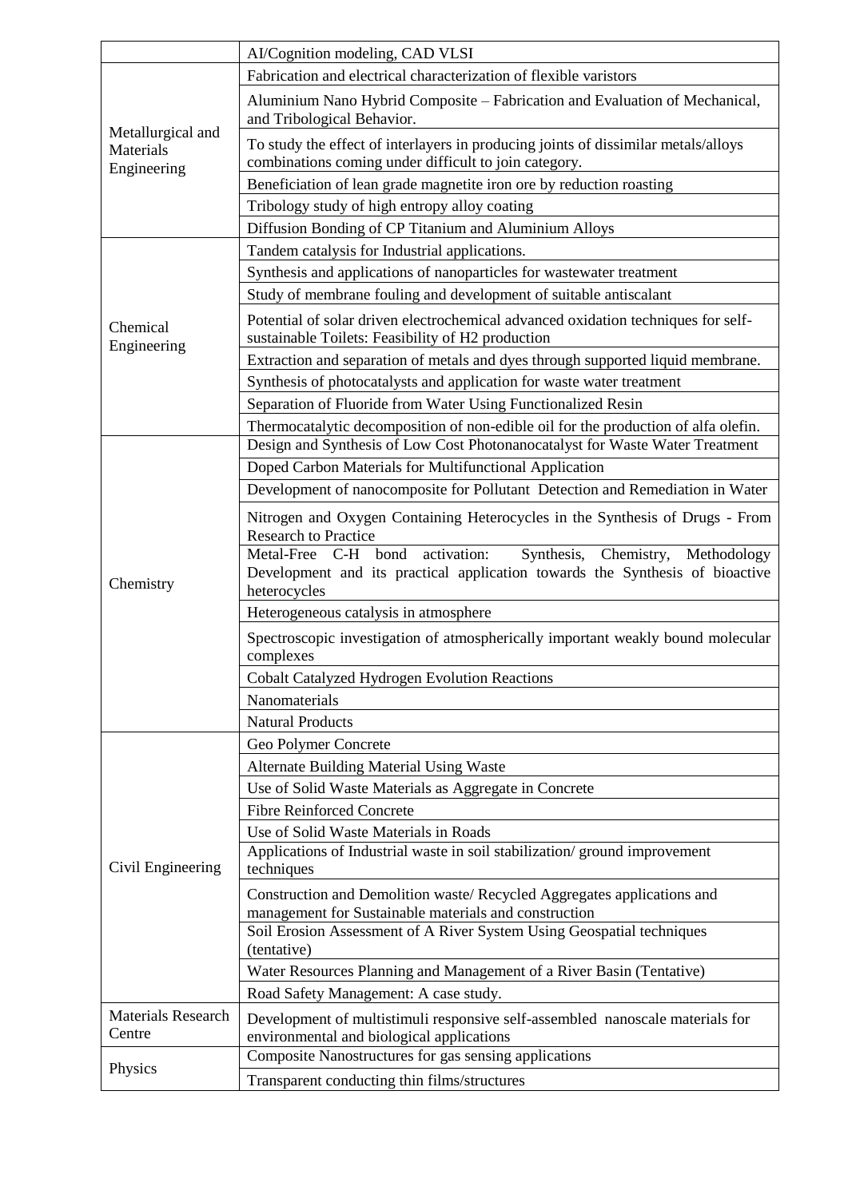|                                               | AI/Cognition modeling, CAD VLSI                                                                                                                                                     |  |  |
|-----------------------------------------------|-------------------------------------------------------------------------------------------------------------------------------------------------------------------------------------|--|--|
|                                               | Fabrication and electrical characterization of flexible varistors                                                                                                                   |  |  |
|                                               | Aluminium Nano Hybrid Composite - Fabrication and Evaluation of Mechanical,<br>and Tribological Behavior.                                                                           |  |  |
| Metallurgical and<br>Materials<br>Engineering | To study the effect of interlayers in producing joints of dissimilar metals/alloys<br>combinations coming under difficult to join category.                                         |  |  |
|                                               | Beneficiation of lean grade magnetite iron ore by reduction roasting                                                                                                                |  |  |
|                                               | Tribology study of high entropy alloy coating                                                                                                                                       |  |  |
|                                               | Diffusion Bonding of CP Titanium and Aluminium Alloys                                                                                                                               |  |  |
|                                               | Tandem catalysis for Industrial applications.                                                                                                                                       |  |  |
|                                               | Synthesis and applications of nanoparticles for wastewater treatment                                                                                                                |  |  |
|                                               | Study of membrane fouling and development of suitable antiscalant                                                                                                                   |  |  |
| Chemical<br>Engineering                       | Potential of solar driven electrochemical advanced oxidation techniques for self-<br>sustainable Toilets: Feasibility of H2 production                                              |  |  |
|                                               | Extraction and separation of metals and dyes through supported liquid membrane.                                                                                                     |  |  |
|                                               | Synthesis of photocatalysts and application for waste water treatment                                                                                                               |  |  |
|                                               | Separation of Fluoride from Water Using Functionalized Resin                                                                                                                        |  |  |
|                                               | Thermocatalytic decomposition of non-edible oil for the production of alfa olefin.                                                                                                  |  |  |
|                                               | Design and Synthesis of Low Cost Photonanocatalyst for Waste Water Treatment                                                                                                        |  |  |
|                                               | Doped Carbon Materials for Multifunctional Application                                                                                                                              |  |  |
|                                               | Development of nanocomposite for Pollutant Detection and Remediation in Water                                                                                                       |  |  |
|                                               | Nitrogen and Oxygen Containing Heterocycles in the Synthesis of Drugs - From<br><b>Research to Practice</b><br>Metal-Free C-H bond activation:<br>Synthesis, Chemistry, Methodology |  |  |
| Chemistry                                     | Development and its practical application towards the Synthesis of bioactive<br>heterocycles                                                                                        |  |  |
|                                               | Heterogeneous catalysis in atmosphere                                                                                                                                               |  |  |
|                                               | Spectroscopic investigation of atmospherically important weakly bound molecular<br>complexes                                                                                        |  |  |
|                                               | <b>Cobalt Catalyzed Hydrogen Evolution Reactions</b>                                                                                                                                |  |  |
|                                               | Nanomaterials                                                                                                                                                                       |  |  |
|                                               | <b>Natural Products</b>                                                                                                                                                             |  |  |
|                                               | Geo Polymer Concrete                                                                                                                                                                |  |  |
|                                               | <b>Alternate Building Material Using Waste</b>                                                                                                                                      |  |  |
|                                               | Use of Solid Waste Materials as Aggregate in Concrete                                                                                                                               |  |  |
|                                               | <b>Fibre Reinforced Concrete</b>                                                                                                                                                    |  |  |
|                                               | Use of Solid Waste Materials in Roads                                                                                                                                               |  |  |
| Civil Engineering                             | Applications of Industrial waste in soil stabilization/ground improvement<br>techniques                                                                                             |  |  |
|                                               | Construction and Demolition waste/ Recycled Aggregates applications and<br>management for Sustainable materials and construction                                                    |  |  |
|                                               | Soil Erosion Assessment of A River System Using Geospatial techniques<br>(tentative)                                                                                                |  |  |
|                                               | Water Resources Planning and Management of a River Basin (Tentative)                                                                                                                |  |  |
|                                               | Road Safety Management: A case study.                                                                                                                                               |  |  |
| <b>Materials Research</b><br>Centre           | Development of multistimuli responsive self-assembled nanoscale materials for<br>environmental and biological applications                                                          |  |  |
|                                               | Composite Nanostructures for gas sensing applications                                                                                                                               |  |  |
| Physics                                       | Transparent conducting thin films/structures                                                                                                                                        |  |  |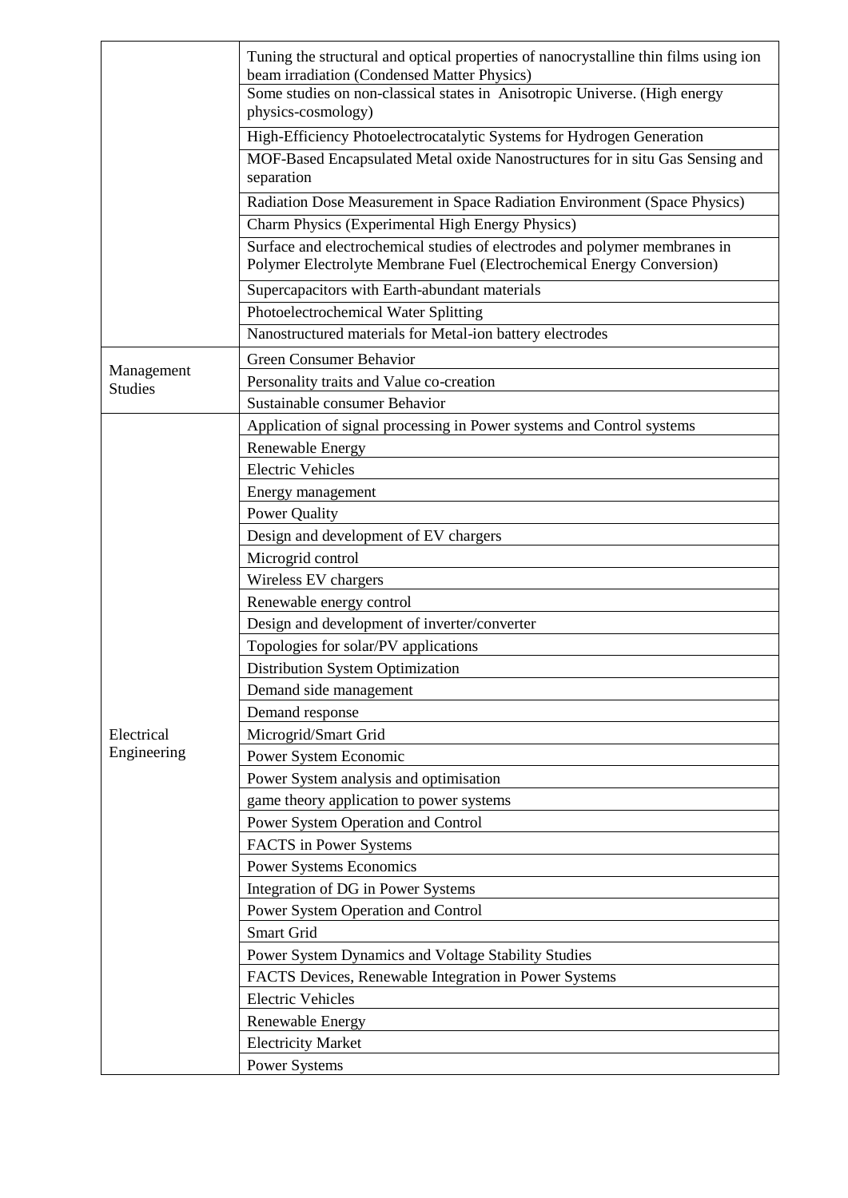|                | Tuning the structural and optical properties of nanocrystalline thin films using ion<br>beam irradiation (Condensed Matter Physics)<br>Some studies on non-classical states in Anisotropic Universe. (High energy<br>physics-cosmology) |  |  |  |
|----------------|-----------------------------------------------------------------------------------------------------------------------------------------------------------------------------------------------------------------------------------------|--|--|--|
|                |                                                                                                                                                                                                                                         |  |  |  |
|                | High-Efficiency Photoelectrocatalytic Systems for Hydrogen Generation                                                                                                                                                                   |  |  |  |
|                | MOF-Based Encapsulated Metal oxide Nanostructures for in situ Gas Sensing and<br>separation                                                                                                                                             |  |  |  |
|                | Radiation Dose Measurement in Space Radiation Environment (Space Physics)                                                                                                                                                               |  |  |  |
|                | Charm Physics (Experimental High Energy Physics)                                                                                                                                                                                        |  |  |  |
|                | Surface and electrochemical studies of electrodes and polymer membranes in<br>Polymer Electrolyte Membrane Fuel (Electrochemical Energy Conversion)                                                                                     |  |  |  |
|                | Supercapacitors with Earth-abundant materials                                                                                                                                                                                           |  |  |  |
|                | Photoelectrochemical Water Splitting                                                                                                                                                                                                    |  |  |  |
|                | Nanostructured materials for Metal-ion battery electrodes                                                                                                                                                                               |  |  |  |
|                | <b>Green Consumer Behavior</b>                                                                                                                                                                                                          |  |  |  |
| Management     | Personality traits and Value co-creation                                                                                                                                                                                                |  |  |  |
| <b>Studies</b> | Sustainable consumer Behavior                                                                                                                                                                                                           |  |  |  |
|                | Application of signal processing in Power systems and Control systems                                                                                                                                                                   |  |  |  |
|                | <b>Renewable Energy</b>                                                                                                                                                                                                                 |  |  |  |
|                | <b>Electric Vehicles</b>                                                                                                                                                                                                                |  |  |  |
|                | Energy management                                                                                                                                                                                                                       |  |  |  |
|                | <b>Power Quality</b>                                                                                                                                                                                                                    |  |  |  |
|                | Design and development of EV chargers                                                                                                                                                                                                   |  |  |  |
|                | Microgrid control                                                                                                                                                                                                                       |  |  |  |
|                | Wireless EV chargers                                                                                                                                                                                                                    |  |  |  |
|                | Renewable energy control                                                                                                                                                                                                                |  |  |  |
|                | Design and development of inverter/converter                                                                                                                                                                                            |  |  |  |
|                | Topologies for solar/PV applications                                                                                                                                                                                                    |  |  |  |
|                | <b>Distribution System Optimization</b>                                                                                                                                                                                                 |  |  |  |
|                | Demand side management                                                                                                                                                                                                                  |  |  |  |
|                | Demand response                                                                                                                                                                                                                         |  |  |  |
| Electrical     | Microgrid/Smart Grid                                                                                                                                                                                                                    |  |  |  |
| Engineering    | Power System Economic                                                                                                                                                                                                                   |  |  |  |
|                | Power System analysis and optimisation                                                                                                                                                                                                  |  |  |  |
|                | game theory application to power systems                                                                                                                                                                                                |  |  |  |
|                | Power System Operation and Control                                                                                                                                                                                                      |  |  |  |
|                | FACTS in Power Systems                                                                                                                                                                                                                  |  |  |  |
|                | Power Systems Economics                                                                                                                                                                                                                 |  |  |  |
|                | Integration of DG in Power Systems                                                                                                                                                                                                      |  |  |  |
|                | Power System Operation and Control                                                                                                                                                                                                      |  |  |  |
|                | Smart Grid                                                                                                                                                                                                                              |  |  |  |
|                | Power System Dynamics and Voltage Stability Studies                                                                                                                                                                                     |  |  |  |
|                | FACTS Devices, Renewable Integration in Power Systems                                                                                                                                                                                   |  |  |  |
|                | <b>Electric Vehicles</b>                                                                                                                                                                                                                |  |  |  |
|                | Renewable Energy                                                                                                                                                                                                                        |  |  |  |
|                | <b>Electricity Market</b>                                                                                                                                                                                                               |  |  |  |
|                | <b>Power Systems</b>                                                                                                                                                                                                                    |  |  |  |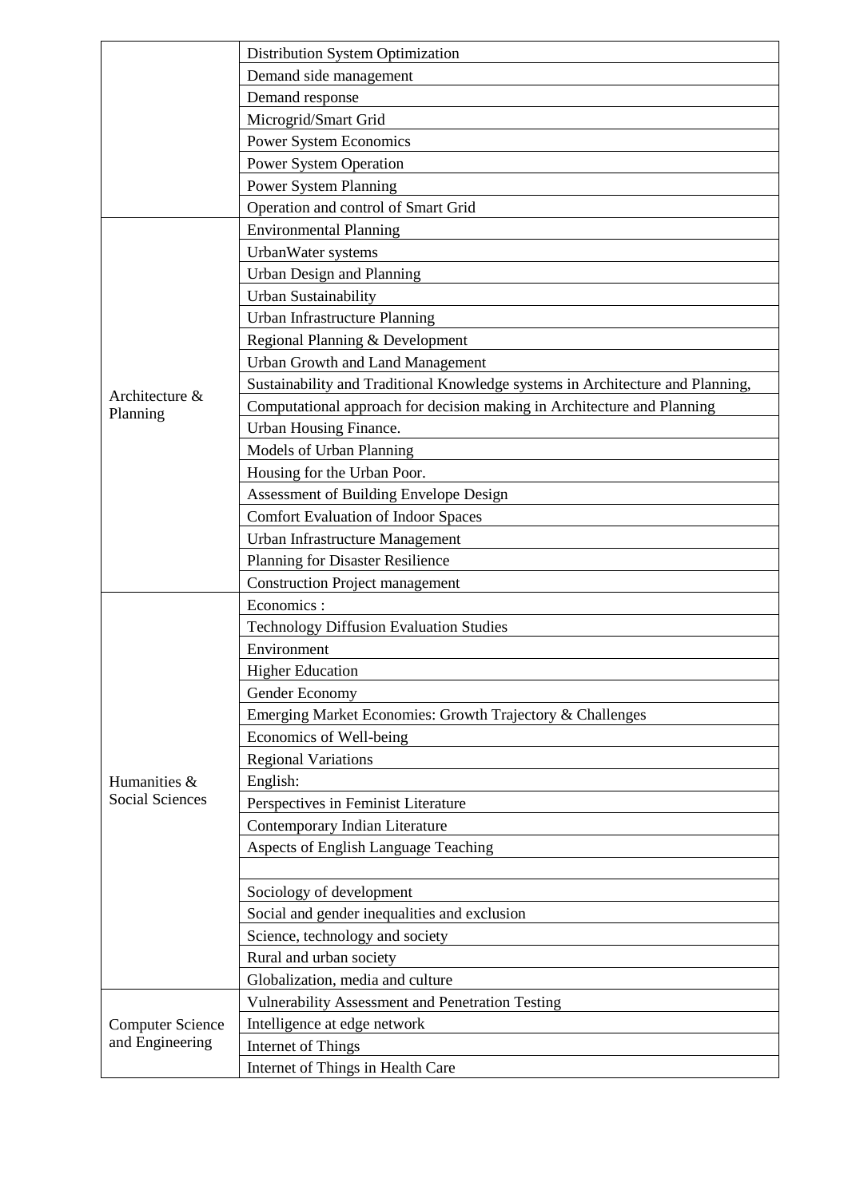|                                            | Distribution System Optimization                                               |  |  |
|--------------------------------------------|--------------------------------------------------------------------------------|--|--|
|                                            | Demand side management                                                         |  |  |
|                                            | Demand response                                                                |  |  |
|                                            | Microgrid/Smart Grid                                                           |  |  |
|                                            | <b>Power System Economics</b>                                                  |  |  |
|                                            | <b>Power System Operation</b>                                                  |  |  |
|                                            | <b>Power System Planning</b>                                                   |  |  |
|                                            | Operation and control of Smart Grid                                            |  |  |
|                                            | <b>Environmental Planning</b>                                                  |  |  |
|                                            | UrbanWater systems                                                             |  |  |
|                                            | Urban Design and Planning                                                      |  |  |
|                                            | <b>Urban Sustainability</b>                                                    |  |  |
|                                            | Urban Infrastructure Planning                                                  |  |  |
|                                            | Regional Planning & Development                                                |  |  |
|                                            | <b>Urban Growth and Land Management</b>                                        |  |  |
| Architecture &                             | Sustainability and Traditional Knowledge systems in Architecture and Planning, |  |  |
| Planning                                   | Computational approach for decision making in Architecture and Planning        |  |  |
|                                            | Urban Housing Finance.                                                         |  |  |
|                                            | Models of Urban Planning                                                       |  |  |
|                                            | Housing for the Urban Poor.                                                    |  |  |
|                                            | Assessment of Building Envelope Design                                         |  |  |
|                                            | <b>Comfort Evaluation of Indoor Spaces</b>                                     |  |  |
|                                            | <b>Urban Infrastructure Management</b>                                         |  |  |
|                                            | Planning for Disaster Resilience                                               |  |  |
|                                            | <b>Construction Project management</b>                                         |  |  |
|                                            | Economics:                                                                     |  |  |
|                                            | <b>Technology Diffusion Evaluation Studies</b>                                 |  |  |
|                                            | Environment                                                                    |  |  |
|                                            | <b>Higher Education</b>                                                        |  |  |
|                                            | Gender Economy                                                                 |  |  |
|                                            | Emerging Market Economies: Growth Trajectory & Challenges                      |  |  |
|                                            | Economics of Well-being                                                        |  |  |
|                                            | <b>Regional Variations</b>                                                     |  |  |
| Humanities &                               | English:                                                                       |  |  |
| <b>Social Sciences</b>                     | Perspectives in Feminist Literature                                            |  |  |
|                                            | Contemporary Indian Literature                                                 |  |  |
|                                            | Aspects of English Language Teaching                                           |  |  |
|                                            |                                                                                |  |  |
|                                            | Sociology of development                                                       |  |  |
|                                            | Social and gender inequalities and exclusion                                   |  |  |
|                                            | Science, technology and society                                                |  |  |
|                                            | Rural and urban society                                                        |  |  |
|                                            | Globalization, media and culture                                               |  |  |
|                                            | <b>Vulnerability Assessment and Penetration Testing</b>                        |  |  |
| <b>Computer Science</b><br>and Engineering | Intelligence at edge network                                                   |  |  |
|                                            | Internet of Things                                                             |  |  |
|                                            | Internet of Things in Health Care                                              |  |  |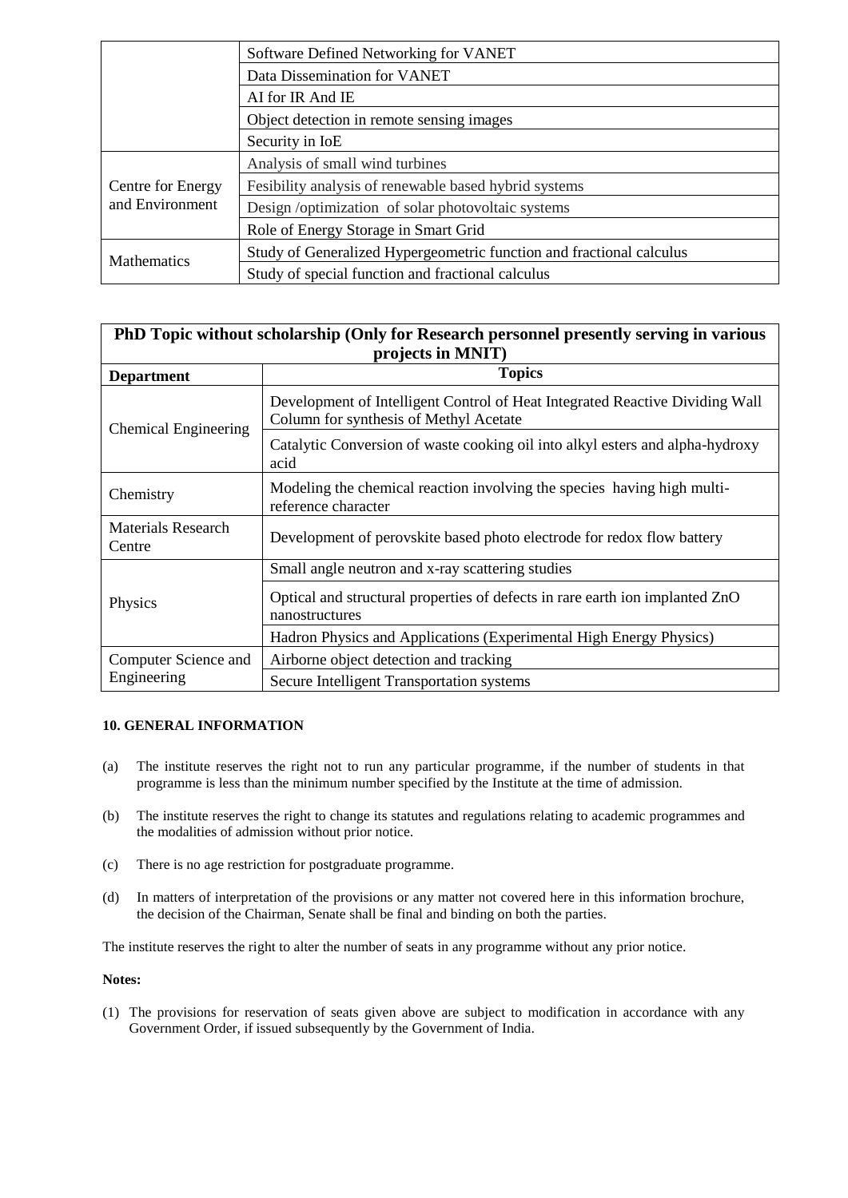|                                                            | Software Defined Networking for VANET                                |
|------------------------------------------------------------|----------------------------------------------------------------------|
|                                                            | Data Dissemination for VANET                                         |
|                                                            | AI for IR And IE                                                     |
|                                                            | Object detection in remote sensing images                            |
|                                                            | Security in IoE                                                      |
| Centre for Energy<br>and Environment<br><b>Mathematics</b> | Analysis of small wind turbines                                      |
|                                                            | Fesibility analysis of renewable based hybrid systems                |
|                                                            | Design /optimization of solar photovoltaic systems                   |
|                                                            | Role of Energy Storage in Smart Grid                                 |
|                                                            | Study of Generalized Hypergeometric function and fractional calculus |
|                                                            | Study of special function and fractional calculus                    |

| PhD Topic without scholarship (Only for Research personnel presently serving in various<br>projects in MNIT) |                                                                                                                        |  |
|--------------------------------------------------------------------------------------------------------------|------------------------------------------------------------------------------------------------------------------------|--|
| <b>Department</b>                                                                                            | <b>Topics</b>                                                                                                          |  |
| <b>Chemical Engineering</b>                                                                                  | Development of Intelligent Control of Heat Integrated Reactive Dividing Wall<br>Column for synthesis of Methyl Acetate |  |
|                                                                                                              | Catalytic Conversion of waste cooking oil into alkyl esters and alpha-hydroxy<br>acid                                  |  |
| Chemistry                                                                                                    | Modeling the chemical reaction involving the species having high multi-<br>reference character                         |  |
| <b>Materials Research</b><br>Centre                                                                          | Development of perovskite based photo electrode for redox flow battery                                                 |  |
|                                                                                                              | Small angle neutron and x-ray scattering studies                                                                       |  |
| Physics                                                                                                      | Optical and structural properties of defects in rare earth ion implanted ZnO<br>nanostructures                         |  |
|                                                                                                              | Hadron Physics and Applications (Experimental High Energy Physics)                                                     |  |
| Computer Science and                                                                                         | Airborne object detection and tracking                                                                                 |  |
| Engineering                                                                                                  | Secure Intelligent Transportation systems                                                                              |  |

## **10. GENERAL INFORMATION**

- (a) The institute reserves the right not to run any particular programme, if the number of students in that programme is less than the minimum number specified by the Institute at the time of admission.
- (b) The institute reserves the right to change its statutes and regulations relating to academic programmes and the modalities of admission without prior notice.
- (c) There is no age restriction for postgraduate programme.
- (d) In matters of interpretation of the provisions or any matter not covered here in this information brochure, the decision of the Chairman, Senate shall be final and binding on both the parties.

The institute reserves the right to alter the number of seats in any programme without any prior notice.

## **Notes:**

(1) The provisions for reservation of seats given above are subject to modification in accordance with any Government Order, if issued subsequently by the Government of India.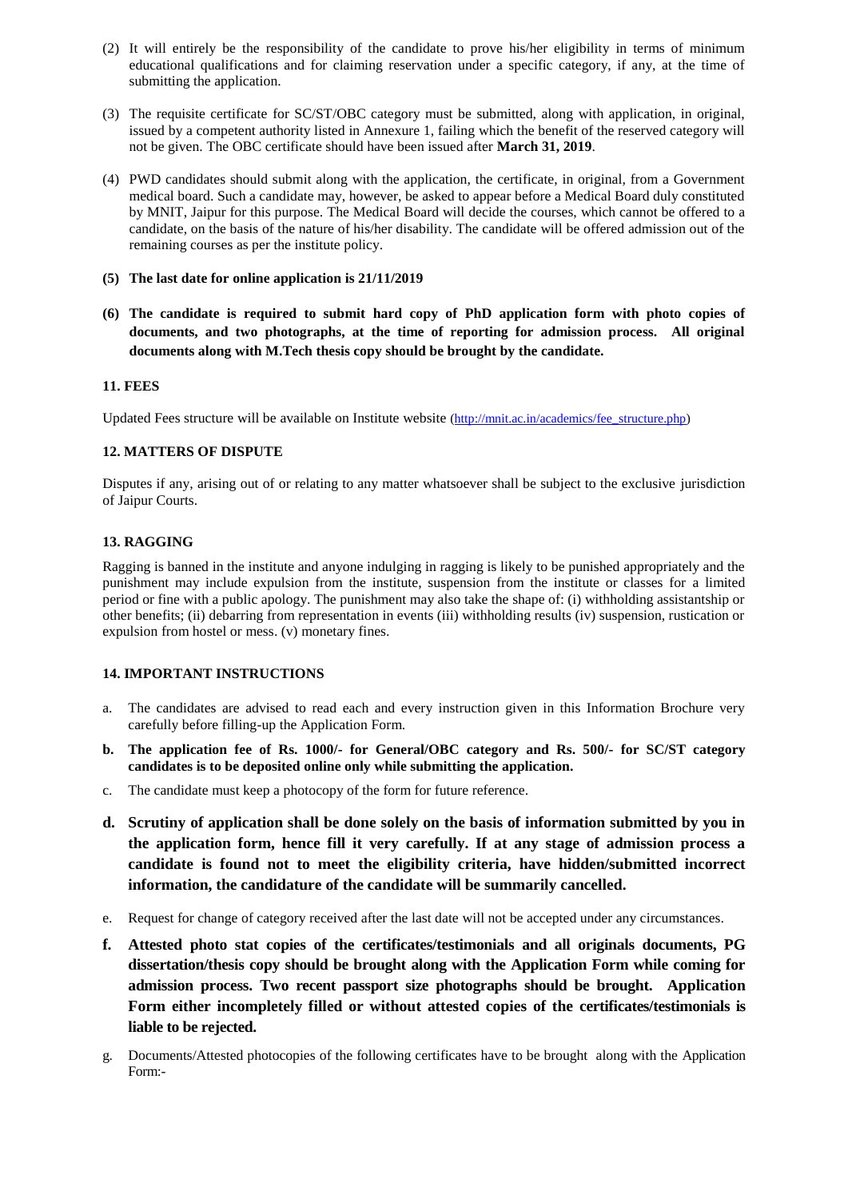- (2) It will entirely be the responsibility of the candidate to prove his/her eligibility in terms of minimum educational qualifications and for claiming reservation under a specific category, if any, at the time of submitting the application.
- (3) The requisite certificate for SC/ST/OBC category must be submitted, along with application, in original, issued by a competent authority listed in Annexure 1, failing which the benefit of the reserved category will not be given. The OBC certificate should have been issued after **March 31, 2019**.
- (4) PWD candidates should submit along with the application, the certificate, in original, from a Government medical board. Such a candidate may, however, be asked to appear before a Medical Board duly constituted by MNIT, Jaipur for this purpose. The Medical Board will decide the courses, which cannot be offered to a candidate, on the basis of the nature of his/her disability. The candidate will be offered admission out of the remaining courses as per the institute policy.
- **(5) The last date for online application is 21/11/2019**
- **(6) The candidate is required to submit hard copy of PhD application form with photo copies of documents, and two photographs, at the time of reporting for admission process. All original documents along with M.Tech thesis copy should be brought by the candidate.**

#### **11. FEES**

Updated Fees structure will be available on Institute website [\(http://mnit.ac.in/academics/fee\\_structure.php\)](http://mnit.ac.in/academics/fee_structure.php)

## **12. MATTERS OF DISPUTE**

Disputes if any, arising out of or relating to any matter whatsoever shall be subject to the exclusive jurisdiction of Jaipur Courts.

#### **13. RAGGING**

Ragging is banned in the institute and anyone indulging in ragging is likely to be punished appropriately and the punishment may include expulsion from the institute, suspension from the institute or classes for a limited period or fine with a public apology. The punishment may also take the shape of: (i) withholding assistantship or other benefits; (ii) debarring from representation in events (iii) withholding results (iv) suspension, rustication or expulsion from hostel or mess. (v) monetary fines.

#### **14. IMPORTANT INSTRUCTIONS**

- a. The candidates are advised to read each and every instruction given in this Information Brochure very carefully before filling-up the Application Form.
- **b. The application fee of Rs. 1000/- for General/OBC category and Rs. 500/- for SC/ST category candidates is to be deposited online only while submitting the application.**
- c. The candidate must keep a photocopy of the form for future reference.
- **d. Scrutiny of application shall be done solely on the basis of information submitted by you in the application form, hence fill it very carefully. If at any stage of admission process a candidate is found not to meet the eligibility criteria, have hidden/submitted incorrect information, the candidature of the candidate will be summarily cancelled.**
- e. Request for change of category received after the last date will not be accepted under any circumstances.
- **f. Attested photo stat copies of the certificates/testimonials and all originals documents, PG dissertation/thesis copy should be brought along with the Application Form while coming for admission process. Two recent passport size photographs should be brought. Application Form either incompletely filled or without attested copies of the certificates/testimonials is liable to be rejected.**
- g. Documents/Attested photocopies of the following certificates have to be brought along with the Application Form:-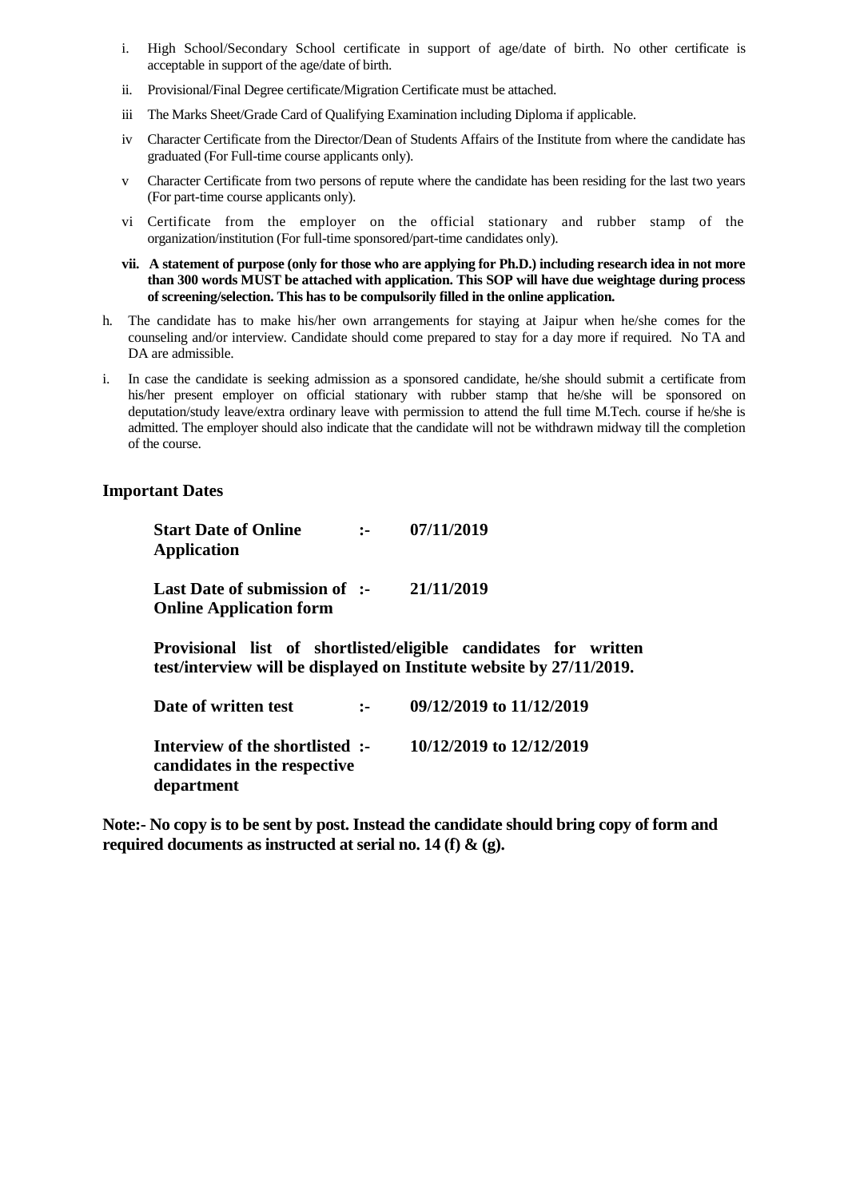- i. High School/Secondary School certificate in support of age/date of birth. No other certificate is acceptable in support of the age/date of birth.
- ii. Provisional/Final Degree certificate/Migration Certificate must be attached.
- iii The Marks Sheet/Grade Card of Qualifying Examination including Diploma if applicable.
- iv Character Certificate from the Director/Dean of Students Affairs of the Institute from where the candidate has graduated (For Full-time course applicants only).
- v Character Certificate from two persons of repute where the candidate has been residing for the last two years (For part-time course applicants only).
- vi Certificate from the employer on the official stationary and rubber stamp of the organization/institution (For full-time sponsored/part-time candidates only).
- **vii. A statement of purpose (only for those who are applying for Ph.D.) including research idea in not more than 300 words MUST be attached with application. This SOP will have due weightage during process of screening/selection. This has to be compulsorily filled in the online application.**
- h. The candidate has to make his/her own arrangements for staying at Jaipur when he/she comes for the counseling and/or interview. Candidate should come prepared to stay for a day more if required. No TA and DA are admissible.
- i. In case the candidate is seeking admission as a sponsored candidate, he/she should submit a certificate from his/her present employer on official stationary with rubber stamp that he/she will be sponsored on deputation/study leave/extra ordinary leave with permission to attend the full time M.Tech. course if he/she is admitted. The employer should also indicate that the candidate will not be withdrawn midway till the completion of the course.

# **Important Dates**

| <b>Start Date of Online</b><br><b>Application</b>                             |              | 07/11/2019                                                                                                                              |
|-------------------------------------------------------------------------------|--------------|-----------------------------------------------------------------------------------------------------------------------------------------|
| Last Date of submission of :-<br><b>Online Application form</b>               |              | 21/11/2019                                                                                                                              |
|                                                                               |              | Provisional list of shortlisted/eligible candidates for written<br>test/interview will be displayed on Institute website by 27/11/2019. |
| Date of written test                                                          | $\mathbf{L}$ | 09/12/2019 to 11/12/2019                                                                                                                |
| Interview of the shortlisted :-<br>candidates in the respective<br>department |              | 10/12/2019 to 12/12/2019                                                                                                                |

**Note:- No copy is to be sent by post. Instead the candidate should bring copy of form and required documents as instructed at serial no. 14 (f) & (g).**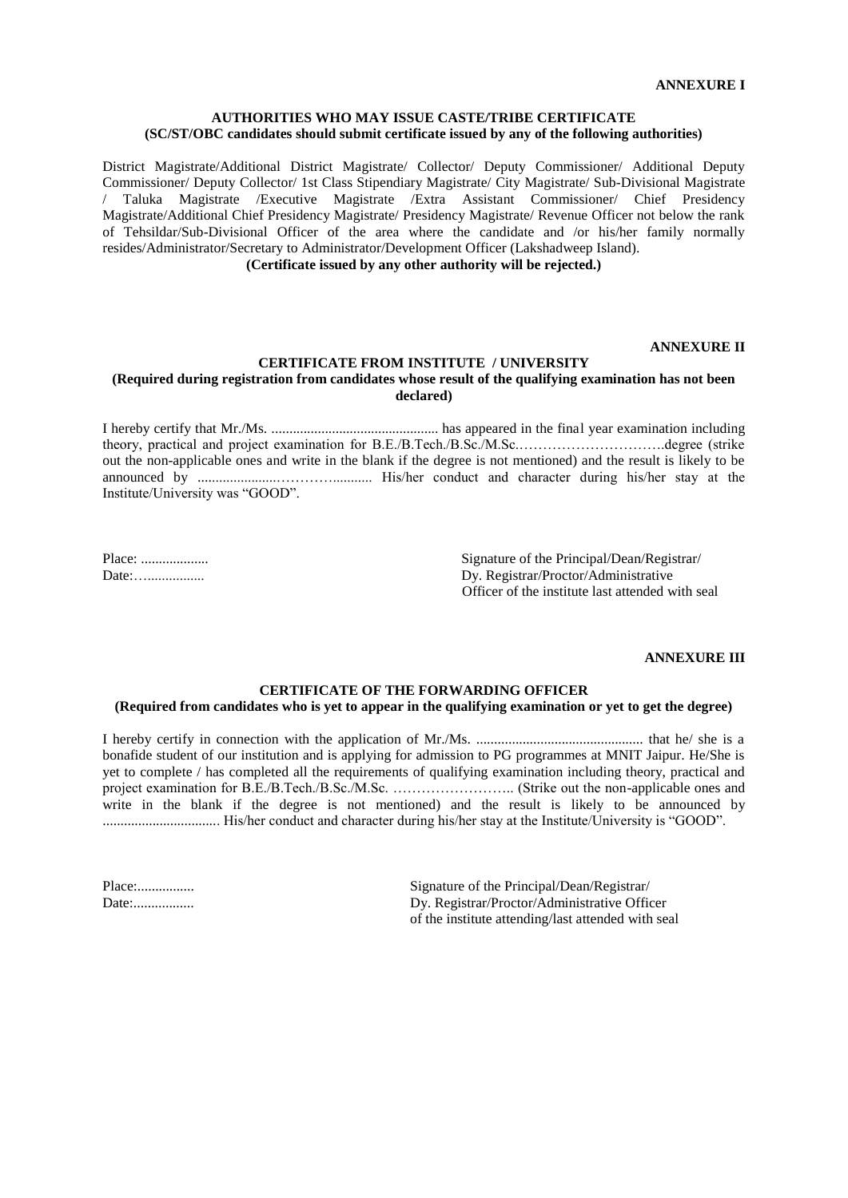#### **AUTHORITIES WHO MAY ISSUE CASTE/TRIBE CERTIFICATE (SC/ST/OBC candidates should submit certificate issued by any of the following authorities)**

District Magistrate/Additional District Magistrate/ Collector/ Deputy Commissioner/ Additional Deputy Commissioner/ Deputy Collector/ 1st Class Stipendiary Magistrate/ City Magistrate/ Sub-Divisional Magistrate / Taluka Magistrate /Executive Magistrate /Extra Assistant Commissioner/ Chief Presidency Magistrate/Additional Chief Presidency Magistrate/ Presidency Magistrate/ Revenue Officer not below the rank of Tehsildar/Sub-Divisional Officer of the area where the candidate and /or his/her family normally resides/Administrator/Secretary to Administrator/Development Officer (Lakshadweep Island).

**(Certificate issued by any other authority will be rejected.)**

#### **ANNEXURE II**

#### **CERTIFICATE FROM INSTITUTE / UNIVERSITY**

#### **(Required during registration from candidates whose result of the qualifying examination has not been declared)**

I hereby certify that Mr./Ms. ............................................... has appeared in the final year examination including theory, practical and project examination for B.E./B.Tech./B.Sc./M.Sc.………………………….degree (strike out the non-applicable ones and write in the blank if the degree is not mentioned) and the result is likely to be announced by ......................…………........... His/her conduct and character during his/her stay at the Institute/University was "GOOD".

Place: ................... Signature of the Principal/Dean/Registrar/ Date:…................ Dy. Registrar/Proctor/Administrative Officer of the institute last attended with seal

#### **ANNEXURE III**

### **CERTIFICATE OF THE FORWARDING OFFICER (Required from candidates who is yet to appear in the qualifying examination or yet to get the degree)**

I hereby certify in connection with the application of Mr./Ms. ............................................... that he/ she is a bonafide student of our institution and is applying for admission to PG programmes at MNIT Jaipur. He/She is yet to complete / has completed all the requirements of qualifying examination including theory, practical and project examination for B.E./B.Tech./B.Sc./M.Sc. …………………….. (Strike out the non-applicable ones and write in the blank if the degree is not mentioned) and the result is likely to be announced by ................................. His/her conduct and character during his/her stay at the Institute/University is "GOOD".

Place:................ Signature of the Principal/Dean/Registrar/ Date:................. Dy. Registrar/Proctor/Administrative Officer of the institute attending/last attended with seal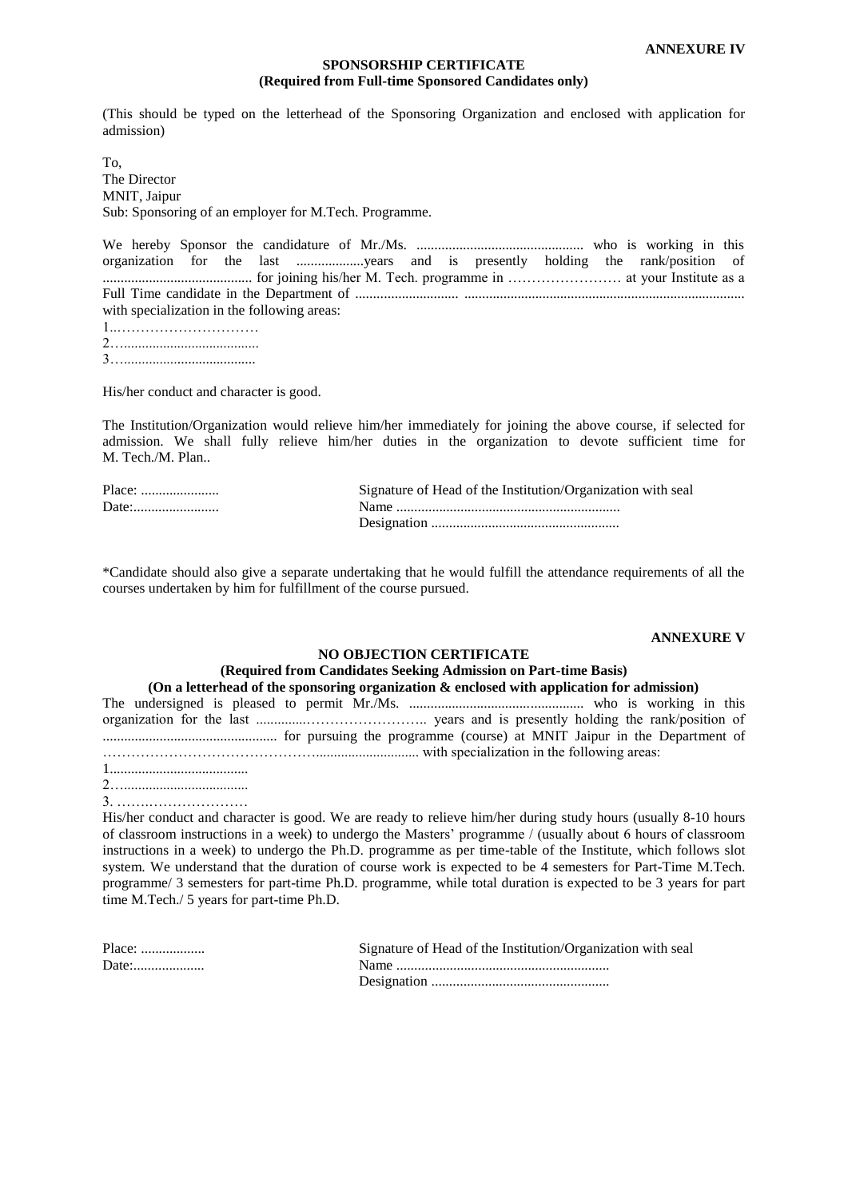### **SPONSORSHIP CERTIFICATE (Required from Full-time Sponsored Candidates only)**

(This should be typed on the letterhead of the Sponsoring Organization and enclosed with application for admission)

To, The Director MNIT, Jaipur Sub: Sponsoring of an employer for M.Tech. Programme.

We hereby Sponsor the candidature of Mr./Ms. ............................................... who is working in this organization for the last ...................years and is presently holding the rank/position of .......................................... for joining his/her M. Tech. programme in …………………… at your Institute as a Full Time candidate in the Department of ............................. ............................................................................... with specialization in the following areas: 1..………………………… 2…......................................

3….....................................

His/her conduct and character is good.

The Institution/Organization would relieve him/her immediately for joining the above course, if selected for admission. We shall fully relieve him/her duties in the organization to devote sufficient time for M. Tech./M. Plan..

| Place: | Signature of Head of the Institution/Organization with seal |
|--------|-------------------------------------------------------------|
|        |                                                             |
|        |                                                             |

\*Candidate should also give a separate undertaking that he would fulfill the attendance requirements of all the courses undertaken by him for fulfillment of the course pursued.

#### **ANNEXURE V**

#### **NO OBJECTION CERTIFICATE**

#### **(Required from Candidates Seeking Admission on Part-time Basis) (On a letterhead of the sponsoring organization & enclosed with application for admission)**

| (On a fetterneau of the sponsoring organization & enclosed with application for aunifision) |  |
|---------------------------------------------------------------------------------------------|--|
|                                                                                             |  |
|                                                                                             |  |
|                                                                                             |  |
| with specialization in the following areas:                                                 |  |
|                                                                                             |  |

2…...................................

3. …….…………………

His/her conduct and character is good. We are ready to relieve him/her during study hours (usually 8-10 hours of classroom instructions in a week) to undergo the Masters' programme / (usually about 6 hours of classroom instructions in a week) to undergo the Ph.D. programme as per time-table of the Institute, which follows slot system. We understand that the duration of course work is expected to be 4 semesters for Part-Time M.Tech. programme/ 3 semesters for part-time Ph.D. programme, while total duration is expected to be 3 years for part time M.Tech./ 5 years for part-time Ph.D.

| Place: | Signature of Head of the Institution/Organization with seal |
|--------|-------------------------------------------------------------|
| Date:  |                                                             |
|        |                                                             |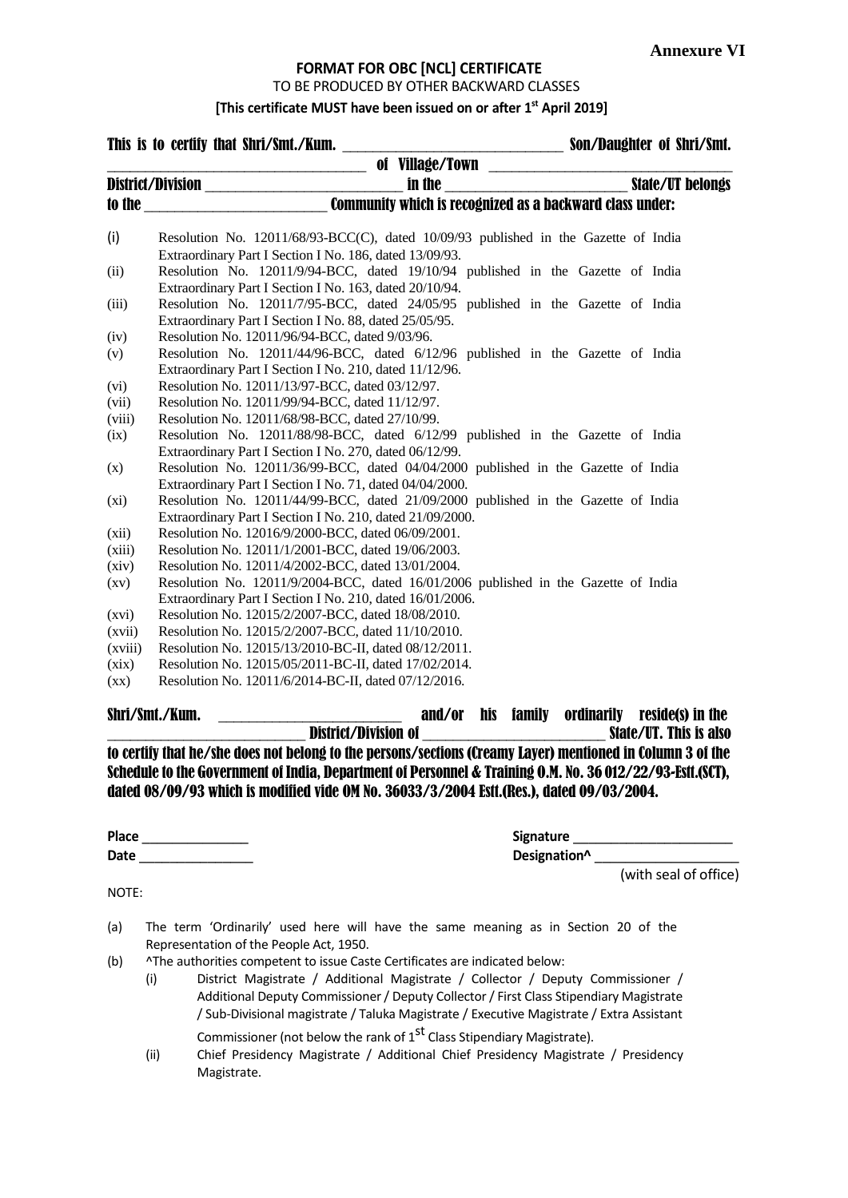# **FORMAT FOR OBC [NCL] CERTIFICATE**

TO BE PRODUCED BY OTHER BACKWARD CLASSES

**[This certificate MUST have been issued on or after 1 st April 2019]**

|                    | of Village/Town<br>in the state/UT belongs                                          |                                           |
|--------------------|-------------------------------------------------------------------------------------|-------------------------------------------|
|                    |                                                                                     |                                           |
|                    |                                                                                     |                                           |
| (i)                | Resolution No. 12011/68/93-BCC(C), dated 10/09/93 published in the Gazette of India |                                           |
|                    | Extraordinary Part I Section I No. 186, dated 13/09/93.                             |                                           |
| (ii)               | Resolution No. 12011/9/94-BCC, dated 19/10/94 published in the Gazette of India     |                                           |
|                    | Extraordinary Part I Section I No. 163, dated 20/10/94.                             |                                           |
| (iii)              | Resolution No. 12011/7/95-BCC, dated 24/05/95 published in the Gazette of India     |                                           |
|                    | Extraordinary Part I Section I No. 88, dated 25/05/95.                              |                                           |
| (iv)               | Resolution No. 12011/96/94-BCC, dated 9/03/96.                                      |                                           |
| (v)                | Resolution No. 12011/44/96-BCC, dated 6/12/96 published in the Gazette of India     |                                           |
|                    | Extraordinary Part I Section I No. 210, dated 11/12/96.                             |                                           |
| (vi)               | Resolution No. 12011/13/97-BCC, dated 03/12/97.                                     |                                           |
| (vii)              | Resolution No. 12011/99/94-BCC, dated 11/12/97.                                     |                                           |
| (viii)             | Resolution No. 12011/68/98-BCC, dated 27/10/99.                                     |                                           |
| (ix)               | Resolution No. 12011/88/98-BCC, dated 6/12/99 published in the Gazette of India     |                                           |
|                    | Extraordinary Part I Section I No. 270, dated 06/12/99.                             |                                           |
| (x)                | Resolution No. 12011/36/99-BCC, dated 04/04/2000 published in the Gazette of India  |                                           |
|                    | Extraordinary Part I Section I No. 71, dated 04/04/2000.                            |                                           |
| $(x_i)$            | Resolution No. 12011/44/99-BCC, dated 21/09/2000 published in the Gazette of India  |                                           |
|                    | Extraordinary Part I Section I No. 210, dated 21/09/2000.                           |                                           |
| (xii)              | Resolution No. 12016/9/2000-BCC, dated 06/09/2001.                                  |                                           |
| (xiii)             | Resolution No. 12011/1/2001-BCC, dated 19/06/2003.                                  |                                           |
| (xiv)              | Resolution No. 12011/4/2002-BCC, dated 13/01/2004.                                  |                                           |
| $\left( xy\right)$ | Resolution No. 12011/9/2004-BCC, dated 16/01/2006 published in the Gazette of India |                                           |
|                    | Extraordinary Part I Section I No. 210, dated 16/01/2006.                           |                                           |
| (xvi)              | Resolution No. 12015/2/2007-BCC, dated 18/08/2010.                                  |                                           |
| (xvii)             | Resolution No. 12015/2/2007-BCC, dated 11/10/2010.                                  |                                           |
| (xviii)            | Resolution No. 12015/13/2010-BC-II, dated 08/12/2011.                               |                                           |
| (xix)              | Resolution No. 12015/05/2011-BC-II, dated 17/02/2014.                               |                                           |
| $\left( xx\right)$ | Resolution No. 12011/6/2014-BC-II, dated 07/12/2016.                                |                                           |
|                    | and/or<br>Shri/Smt./Kum.                                                            | his family<br>ordinarily reside(s) in the |
|                    |                                                                                     | State/UT. This is also                    |

to certify that he/she does not belong to the persons/sections (Creamy Layer) mentioned in Column 3 of the Schedule to the Government of India, Department of Personnel & Training O.M. No. 36 012/22/93-Estt.(SCT), dated 08/09/93 which is modified vide OM No. 36033/3/2004 Estt.(Res.), dated 09/03/2004.

| <b>Place</b> |  |
|--------------|--|
| Date         |  |

**Place** \_\_\_\_\_\_\_\_\_\_\_\_\_\_ **Signature** \_\_\_\_\_\_\_\_\_\_\_\_\_\_\_\_\_\_\_\_\_ **Date** \_\_\_\_\_\_\_\_\_\_\_\_\_\_\_ **Designation^** \_\_\_\_\_\_\_\_\_\_\_\_\_\_\_\_\_\_\_ (with seal of office)

NOTE:

- (a) The term 'Ordinarily' used here will have the same meaning as in Section 20 of the Representation of the People Act, 1950.
- (b) ^The authorities competent to issue Caste Certificates are indicated below:
	- (i) District Magistrate / Additional Magistrate / Collector / Deputy Commissioner / Additional Deputy Commissioner/ Deputy Collector/ First Class Stipendiary Magistrate / Sub-Divisional magistrate / Taluka Magistrate / Executive Magistrate / Extra Assistant

Commissioner (not below the rank of  $1<sup>st</sup>$  Class Stipendiary Magistrate).

(ii) Chief Presidency Magistrate / Additional Chief Presidency Magistrate / Presidency Magistrate.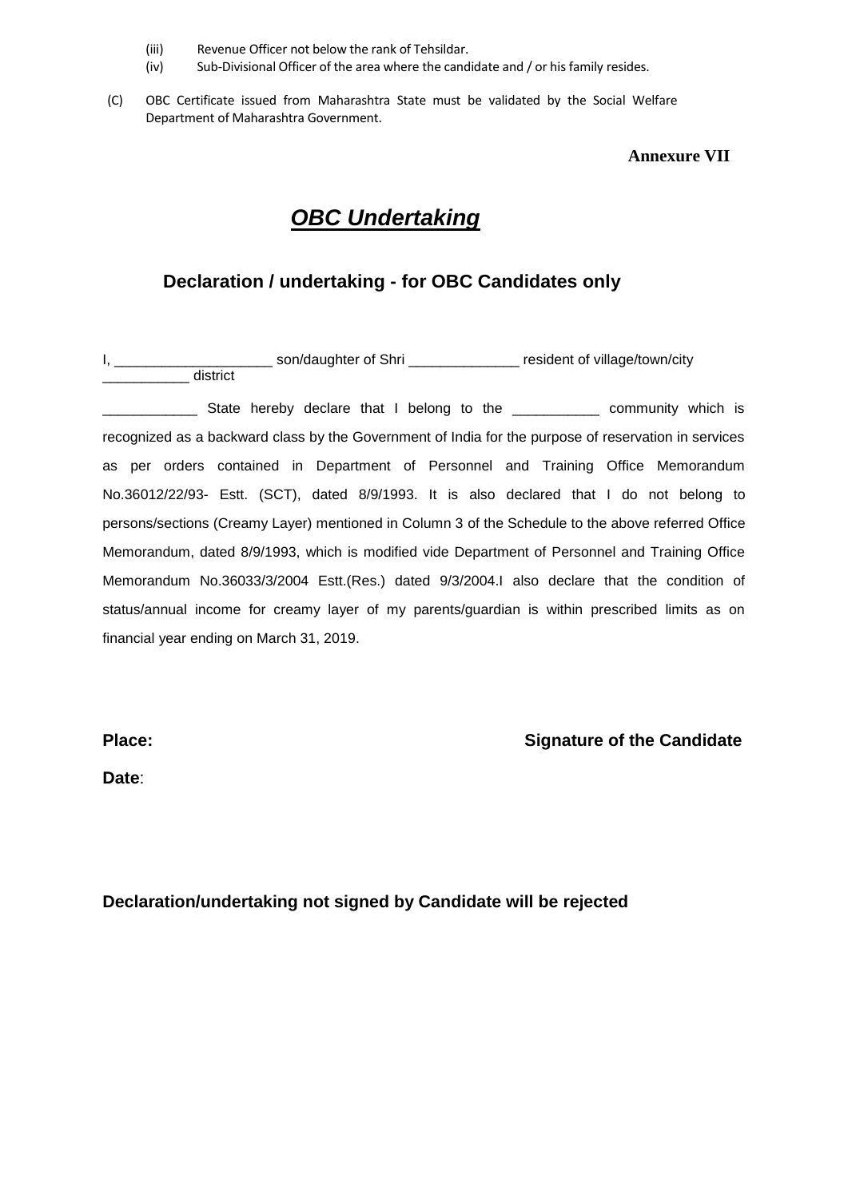- (iii) Revenue Officer not below the rank of Tehsildar.
- (iv) Sub-Divisional Officer of the area where the candidate and / or his family resides.
- (C) OBC Certificate issued from Maharashtra State must be validated by the Social Welfare Department of Maharashtra Government.

# **Annexure VII**

# *OBC Undertaking*

# **Declaration / undertaking - for OBC Candidates only**

|          | son/daughter of Shri | resident of village/town/city |
|----------|----------------------|-------------------------------|
| district |                      |                               |

**EXECUTE:** State hereby declare that I belong to the **EXECUTE:** community which is recognized as a backward class by the Government of India for the purpose of reservation in services as per orders contained in Department of Personnel and Training Office Memorandum No.36012/22/93- Estt. (SCT), dated 8/9/1993. It is also declared that I do not belong to persons/sections (Creamy Layer) mentioned in Column 3 of the Schedule to the above referred Office Memorandum, dated 8/9/1993, which is modified vide Department of Personnel and Training Office Memorandum No.36033/3/2004 Estt.(Res.) dated 9/3/2004.I also declare that the condition of status/annual income for creamy layer of my parents/guardian is within prescribed limits as on financial year ending on March 31, 2019.

# **Place: Place: Signature of the Candidate**

**Date**:

**Declaration/undertaking not signed by Candidate will be rejected**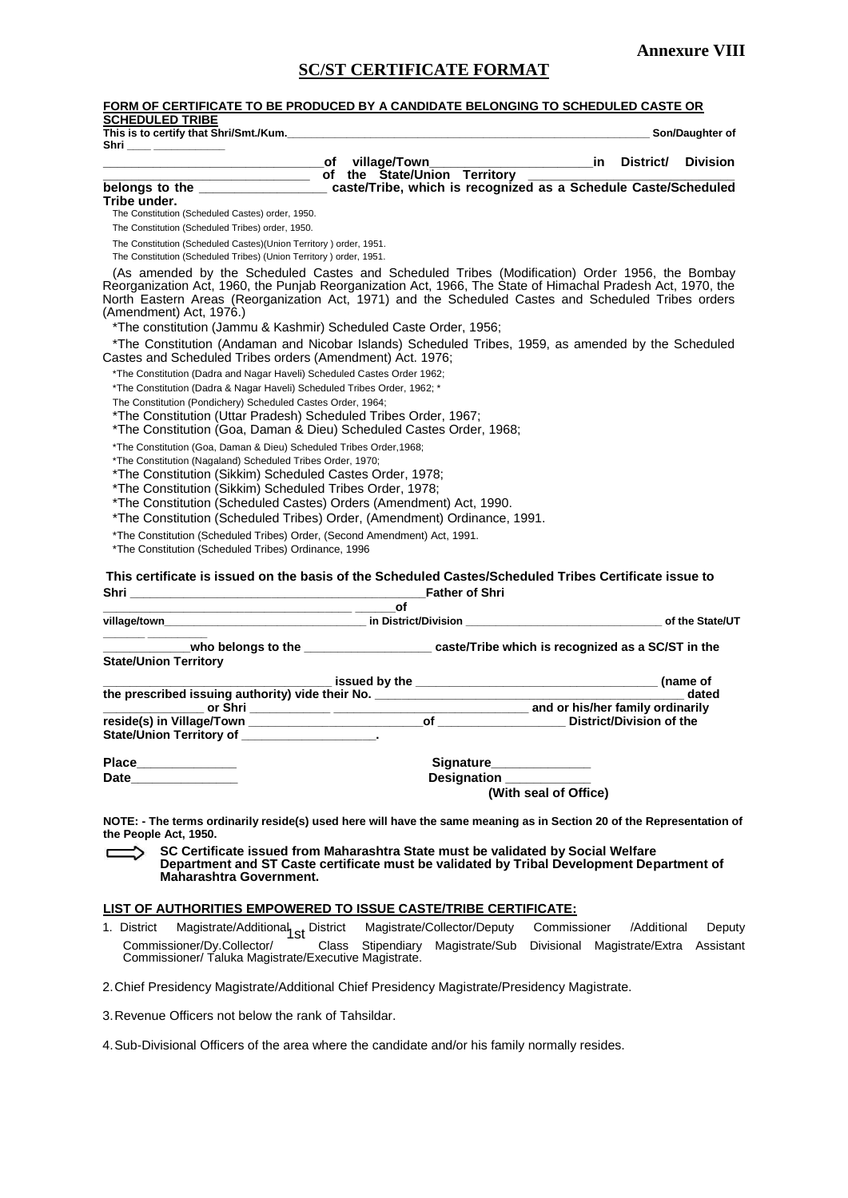# **SC/ST CERTIFICATE FORMAT FORM OF CERTIFICATE TO BE PRODUCED BY A CANDIDATE BELONGING TO SCHEDULED CASTE OR SCHEDULED TRIBE This is to certify that Shri/Smt./Kum.\_\_\_\_\_\_\_\_\_\_\_\_\_\_\_\_\_\_\_\_\_\_\_\_\_\_\_\_\_\_\_\_\_\_\_\_\_\_\_\_\_\_\_\_\_\_\_\_\_\_\_\_\_\_\_\_\_\_\_\_\_ Son/Daughter of Shri \_\_\_\_ \_\_\_\_\_\_\_\_\_\_\_\_ \_\_\_\_\_\_\_\_\_\_\_\_\_\_\_\_\_\_\_\_\_\_\_\_\_\_\_\_\_\_\_of village/Town\_\_\_\_\_\_\_\_\_\_\_\_\_\_\_\_\_\_\_\_\_\_\_in District/ Division**  <u>the State/Union Territory</u><br>
belongs to the state caste/Tribe. which is recognized caste/Tribe, which is recognized as a Schedule Caste/Scheduled **Tribe under.** The Constitution (Scheduled Castes) order, 1950. The Constitution (Scheduled Tribes) order, 1950. The Constitution (Scheduled Castes)(Union Territory ) order, 1951. The Constitution (Scheduled Tribes) (Union Territory ) order, 1951. (As amended by the Scheduled Castes and Scheduled Tribes (Modification) Order 1956, the Bombay Reorganization Act, 1960, the Punjab Reorganization Act, 1966, The State of Himachal Pradesh Act, 1970, the North Eastern Areas (Reorganization Act, 1971) and the Scheduled Castes and Scheduled Tribes orders (Amendment) Act, 1976.) \*The constitution (Jammu & Kashmir) Scheduled Caste Order, 1956; \*The Constitution (Andaman and Nicobar Islands) Scheduled Tribes, 1959, as amended by the Scheduled Castes and Scheduled Tribes orders (Amendment) Act. 1976; \*The Constitution (Dadra and Nagar Haveli) Scheduled Castes Order 1962; \*The Constitution (Dadra & Nagar Haveli) Scheduled Tribes Order, 1962; \* The Constitution (Pondichery) Scheduled Castes Order, 1964; \*The Constitution (Uttar Pradesh) Scheduled Tribes Order, 1967; \*The Constitution (Goa, Daman & Dieu) Scheduled Castes Order, 1968; \*The Constitution (Goa, Daman & Dieu) Scheduled Tribes Order,1968; \*The Constitution (Nagaland) Scheduled Tribes Order, 1970; \*The Constitution (Sikkim) Scheduled Castes Order, 1978; \*The Constitution (Sikkim) Scheduled Tribes Order, 1978; \*The Constitution (Scheduled Castes) Orders (Amendment) Act, 1990. \*The Constitution (Scheduled Tribes) Order, (Amendment) Ordinance, 1991. \*The Constitution (Scheduled Tribes) Order, (Second Amendment) Act, 1991. \*The Constitution (Scheduled Tribes) Ordinance, 1996 **This certificate is issued on the basis of the Scheduled Castes/Scheduled Tribes Certificate issue to Shri \_\_\_\_\_\_\_\_\_\_\_\_\_\_\_\_\_\_\_\_\_\_\_\_\_\_\_\_\_\_\_\_\_\_\_\_\_\_\_\_\_\_\_\_Father of Shri \_\_\_\_\_\_\_\_\_\_\_\_\_\_\_\_\_\_\_\_\_\_\_\_\_\_\_\_\_\_\_\_\_\_\_\_\_ \_\_\_\_\_\_of village/town by the State/UT in District/Division and Constanting the State/UT**  $\cdot$  **of the State/UT \_\_\_\_\_\_\_ \_\_\_\_\_\_\_\_\_\_ \_\_\_\_\_\_\_\_\_\_\_\_\_who belongs to the \_\_\_\_\_\_\_\_\_\_\_\_\_\_\_\_\_\_\_ caste/Tribe which is recognized as a SC/ST in the State/Union Territory \_\_\_\_\_\_\_\_\_\_\_\_\_\_\_\_\_\_\_\_\_\_\_\_\_\_\_\_\_\_\_\_\_\_ issued by the \_\_\_\_\_\_\_\_\_\_\_\_\_\_\_\_\_\_\_\_\_\_\_\_\_\_\_\_\_\_\_\_\_\_\_\_ (name of the prescribed issuing authority) vide their No. \_\_\_\_\_\_\_\_\_\_\_\_\_\_\_\_\_\_\_\_\_\_\_\_\_\_\_\_\_\_\_\_\_\_\_\_\_\_\_\_\_\_\_\_\_\_ dated \_\_\_\_\_\_\_\_\_\_\_\_\_\_\_ or Shri \_\_\_\_\_\_\_\_\_\_\_\_ \_\_\_\_\_\_\_\_\_\_\_\_\_\_\_\_\_\_\_\_\_\_\_\_\_\_\_\_\_ and or his/her family ordinarily**   $r$ eside(s) in Village/Town \_ **State/Union Territory of** Place Signature Date **Date Designation Designation (With seal of Office) NOTE: - The terms ordinarily reside(s) used here will have the same meaning as in Section 20 of the Representation of the People Act, 1950. SC Certificate issued from Maharashtra State must be validated by Social Welfare Department and ST Caste certificate must be validated by Tribal Development Department of Maharashtra Government. LIST OF AUTHORITIES EMPOWERED TO ISSUE CASTE/TRIBE CERTIFICATE:** 1. District Magistrate/Additional St District Magistrate/Collector/Deputy Commissioner /Additional Deputy Commissioner/Dy.Collector/ Class Stipendiary Magistrate/Sub Divisional Magistrate/Extra Assistant Commissioner/ Taluka Magistrate/Executive Magistrate. 2.Chief Presidency Magistrate/Additional Chief Presidency Magistrate/Presidency Magistrate. 3.Revenue Officers not below the rank of Tahsildar. 4.Sub-Divisional Officers of the area where the candidate and/or his family normally resides.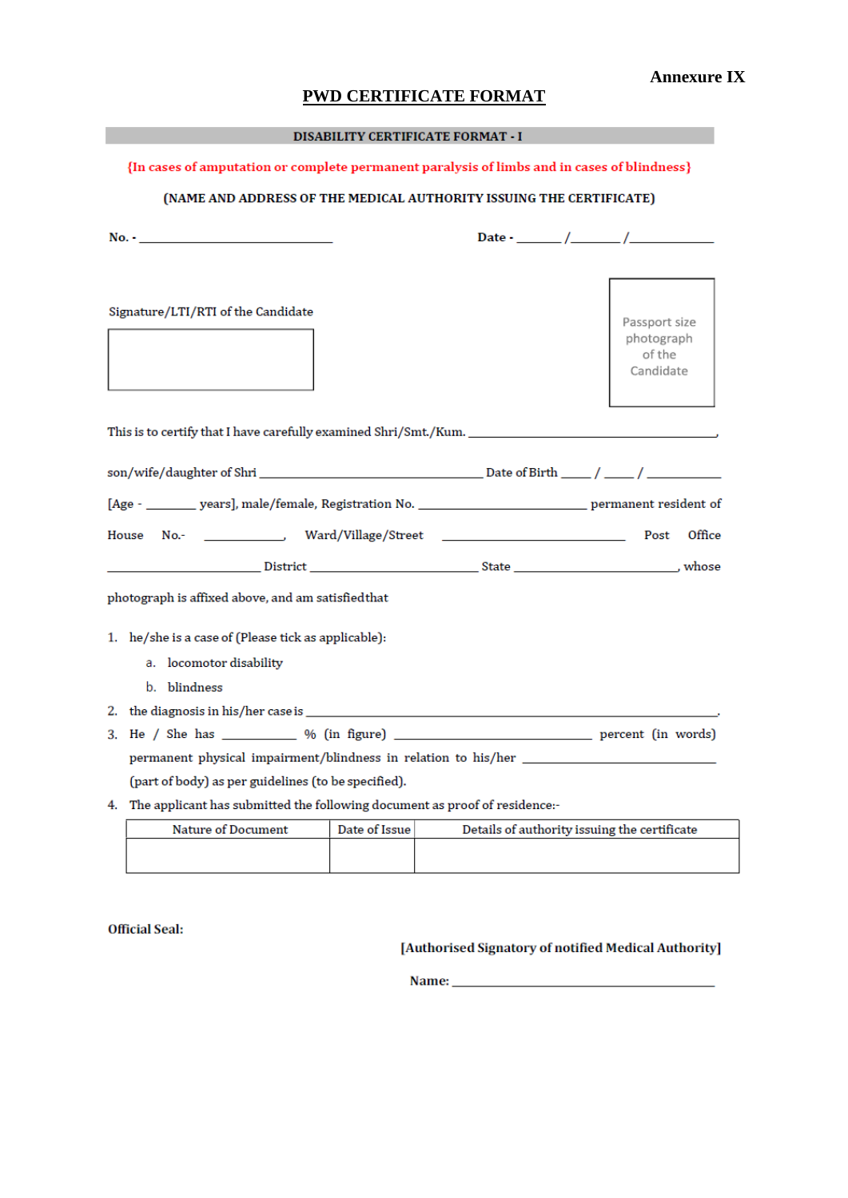# **Annexure IX**

# **PWD CERTIFICATE FORMAT**

# **DISABILITY CERTIFICATE FORMAT - I**

# {In cases of amputation or complete permanent paralysis of limbs and in cases of blindness}

# (NAME AND ADDRESS OF THE MEDICAL AUTHORITY ISSUING THE CERTIFICATE)

| $No. -$                                                                                                     |                                                    |
|-------------------------------------------------------------------------------------------------------------|----------------------------------------------------|
| Signature/LTI/RTI of the Candidate                                                                          | Passport size<br>photograph<br>of the<br>Candidate |
| This is to certify that I have carefully examined Shri/Smt./Kum. ___________________________________        |                                                    |
|                                                                                                             |                                                    |
| [Age - _________ years], male/female, Registration No. ______________________________ permanent resident of |                                                    |
| House                                                                                                       | Post<br>Office                                     |
|                                                                                                             |                                                    |
| photograph is affixed above, and am satisfied that                                                          |                                                    |
| 1. he/she is a case of (Please tick as applicable):                                                         |                                                    |
| a. locomotor disability                                                                                     |                                                    |
| b. blindness                                                                                                |                                                    |
|                                                                                                             |                                                    |
|                                                                                                             |                                                    |
|                                                                                                             |                                                    |
| (part of body) as per guidelines (to be specified).                                                         |                                                    |
| 4. The applicant has submitted the following document as proof of residence:-                               |                                                    |
| Nature of Document [10th of Issue] [10th Details of authority issuing the certificate                       |                                                    |

| <b>Nature of Document</b> | Date of Issue | Details of authority issuing the certificate |
|---------------------------|---------------|----------------------------------------------|
|                           |               |                                              |
|                           |               |                                              |

**Official Seal:** 

[Authorised Signatory of notified Medical Authority]

Name: Name and the state of the state of the state of the state of the state of the state of the state of the state of the state of the state of the state of the state of the state of the state of the state of the state of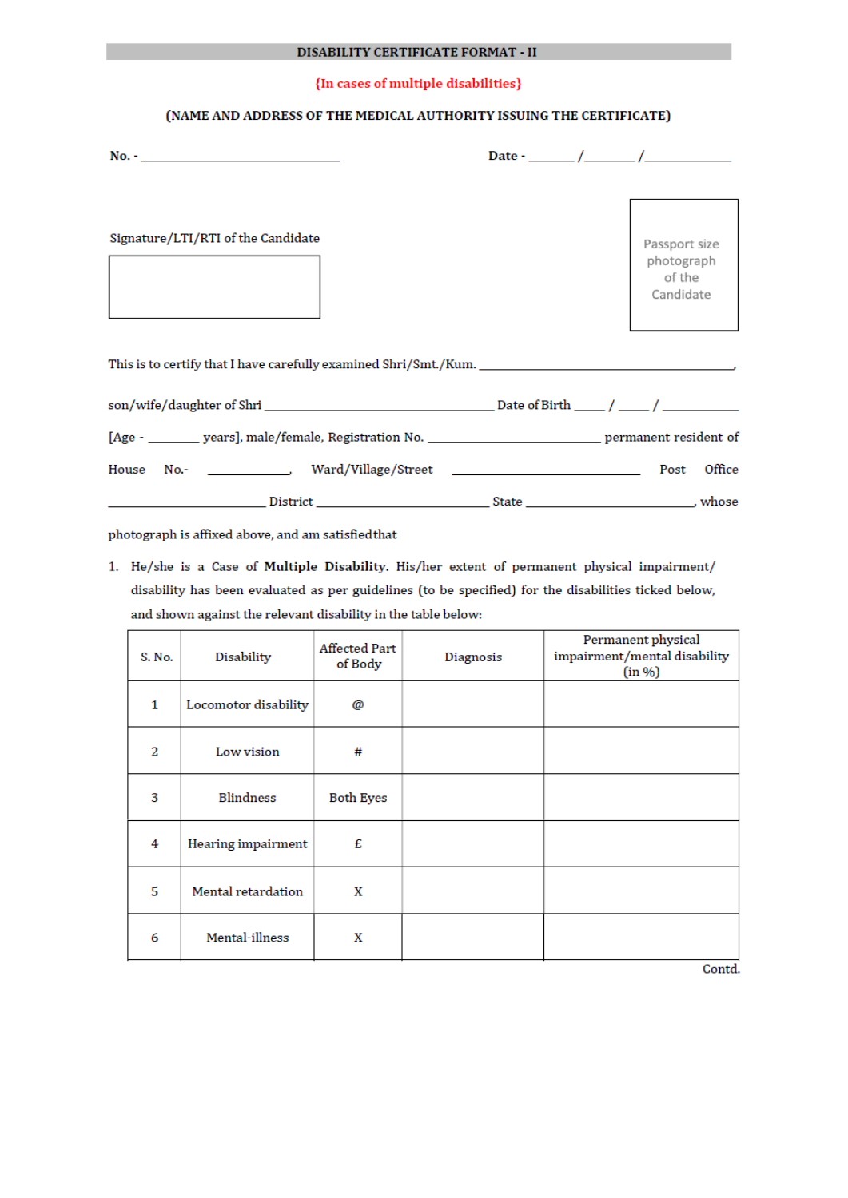### {In cases of multiple disabilities}

# (NAME AND ADDRESS OF THE MEDICAL AUTHORITY ISSUING THE CERTIFICATE)

| Signature/LTI/RTI of the Candidate                                                                          |  | Passport size<br>photograph<br>of the<br>Candidate |  |
|-------------------------------------------------------------------------------------------------------------|--|----------------------------------------------------|--|
|                                                                                                             |  |                                                    |  |
|                                                                                                             |  |                                                    |  |
| [Age - _________ years], male/female, Registration No. ______________________________ permanent resident of |  |                                                    |  |
|                                                                                                             |  | Office                                             |  |
|                                                                                                             |  |                                                    |  |

photograph is affixed above, and am satisfied that

1. He/she is a Case of Multiple Disability. His/her extent of permanent physical impairment/ disability has been evaluated as per guidelines (to be specified) for the disabilities ticked below, and shown against the relevant disability in the table below:

| S. No.       | Disability                | <b>Affected Part</b><br>of Body | <b>Diagnosis</b> | Permanent physical<br>impairment/mental disability<br>(in %) |
|--------------|---------------------------|---------------------------------|------------------|--------------------------------------------------------------|
| 1            | Locomotor disability      | @                               |                  |                                                              |
| $\mathbf{z}$ | Low vision                | #                               |                  |                                                              |
| 3            | <b>Blindness</b>          | <b>Both Eyes</b>                |                  |                                                              |
| 4            | <b>Hearing impairment</b> | £                               |                  |                                                              |
| 5            | Mental retardation        | X                               |                  |                                                              |
| 6            | Mental-illness            | X                               |                  |                                                              |

Contd.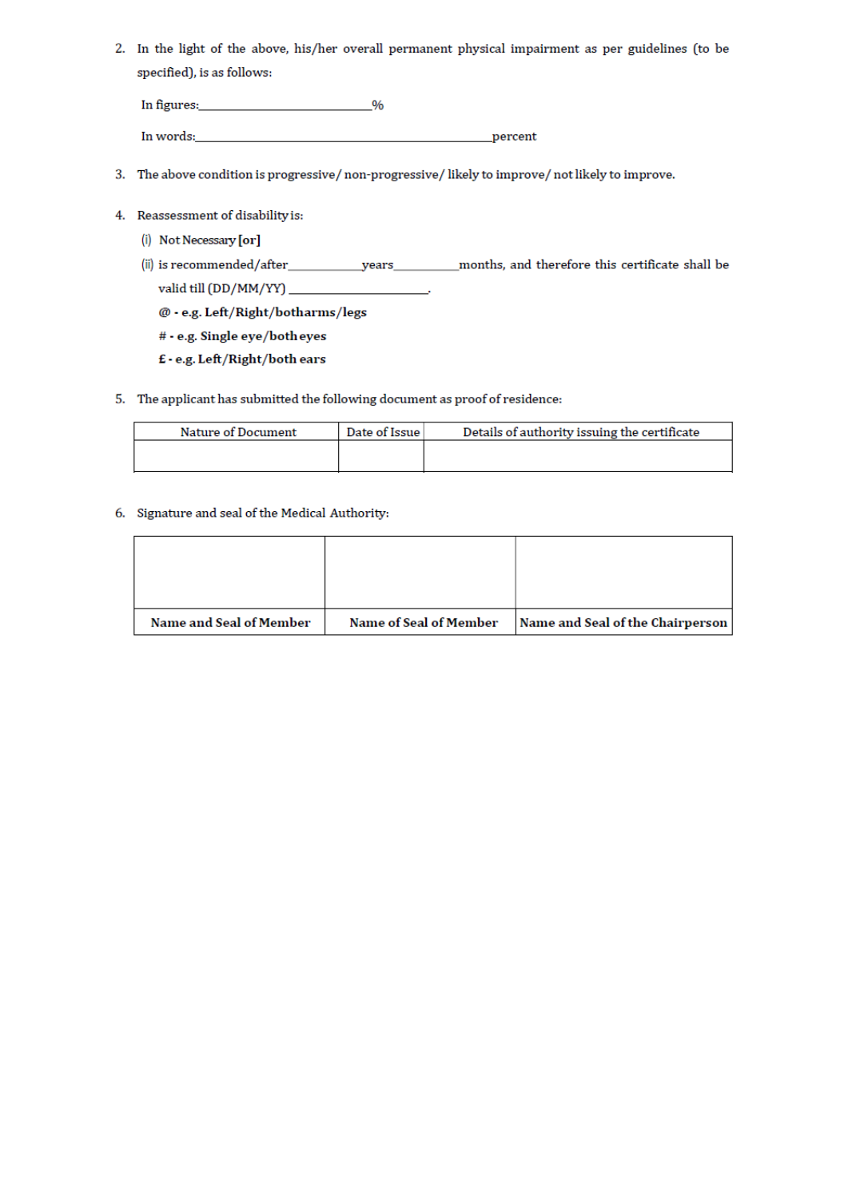2. In the light of the above, his/her overall permanent physical impairment as per guidelines (to be specified), is as follows:

In figures:  $\frac{1}{2}$  %

In words: <u>and the community of the community of the community of the community of the community of the community of the community of the community of the community of the community of the community of the community of the</u>

- 3. The above condition is progressive/non-progressive/likely to improve/not likely to improve.
- 4. Reassessment of disability is:
	- (i) Not Necessary [or]
	- - @ e.g. Left/Right/botharms/legs
		- # e.g. Single eye/both eyes
		- $\pmb{\epsilon}$  e.g. Left/Right/both ears
- 5. The applicant has submitted the following document as proof of residence:

| Date of Issue | Details of authority issuing the certificate |
|---------------|----------------------------------------------|
|               |                                              |
|               |                                              |

6. Signature and seal of the Medical Authority:

| Name and Seal of Member | <b>Name of Seal of Member</b> | Name and Seal of the Chairperson |
|-------------------------|-------------------------------|----------------------------------|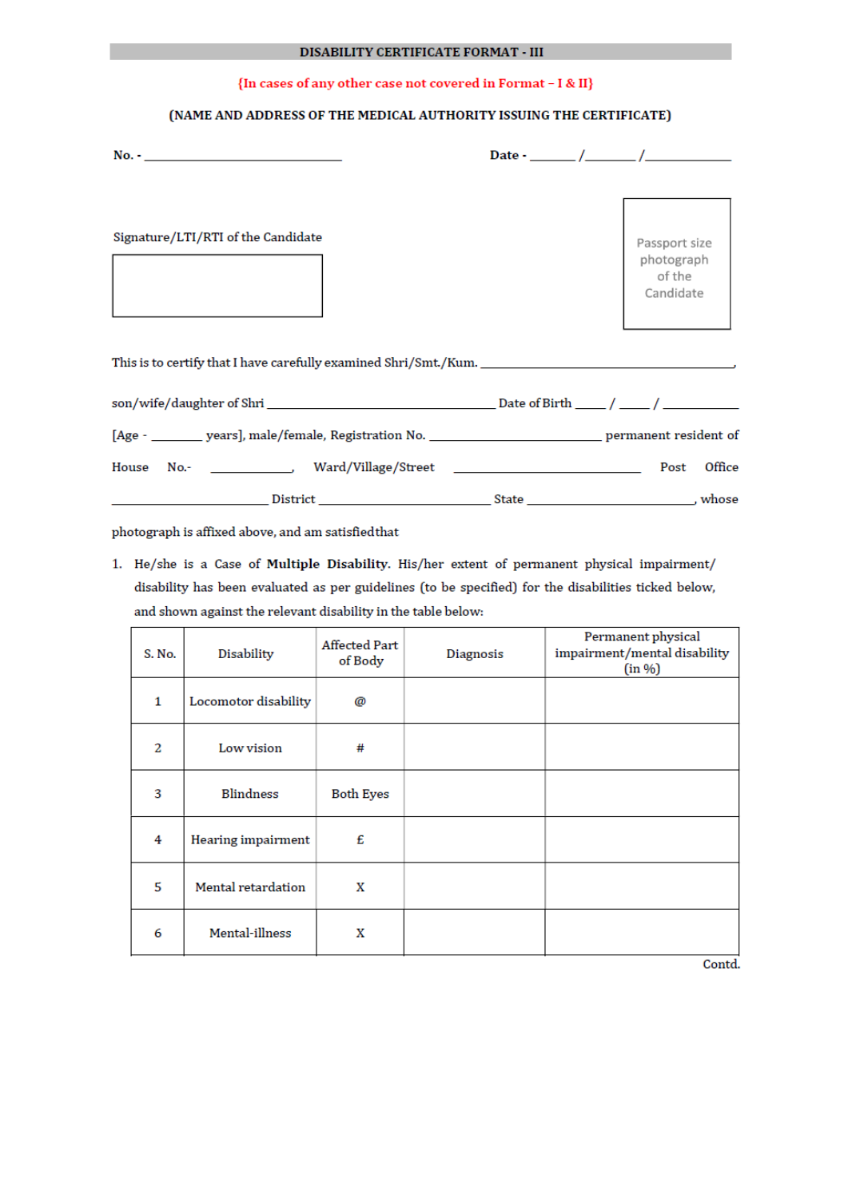#### DISABILITY CERTIFICATE FORMAT - III

#### {In cases of any other case not covered in Format - I & II}

#### (NAME AND ADDRESS OF THE MEDICAL AUTHORITY ISSUING THE CERTIFICATE)

| Signature/LTI/RTI of the Candidate | Passport size<br>photograph<br>of the<br>Candidate |
|------------------------------------|----------------------------------------------------|
|                                    |                                                    |
|                                    |                                                    |
|                                    |                                                    |
|                                    | Office<br>Post                                     |
|                                    |                                                    |

photograph is affixed above, and am satisfied that

1. He/she is a Case of Multiple Disability. His/her extent of permanent physical impairment/ disability has been evaluated as per guidelines (to be specified) for the disabilities ticked below, and shown against the relevant disability in the table below:

| S. No. | Disability           | <b>Affected Part</b><br>of Body | <b>Diagnosis</b> | Permanent physical<br>impairment/mental disability<br>(in %) |
|--------|----------------------|---------------------------------|------------------|--------------------------------------------------------------|
| 1      | Locomotor disability | @                               |                  |                                                              |
| 2      | Low vision           | #                               |                  |                                                              |
| 3      | <b>Blindness</b>     | <b>Both Eyes</b>                |                  |                                                              |
| 4      | Hearing impairment   | £                               |                  |                                                              |
| 5      | Mental retardation   | X                               |                  |                                                              |
| 6      | Mental-illness       | X                               |                  |                                                              |

Contd.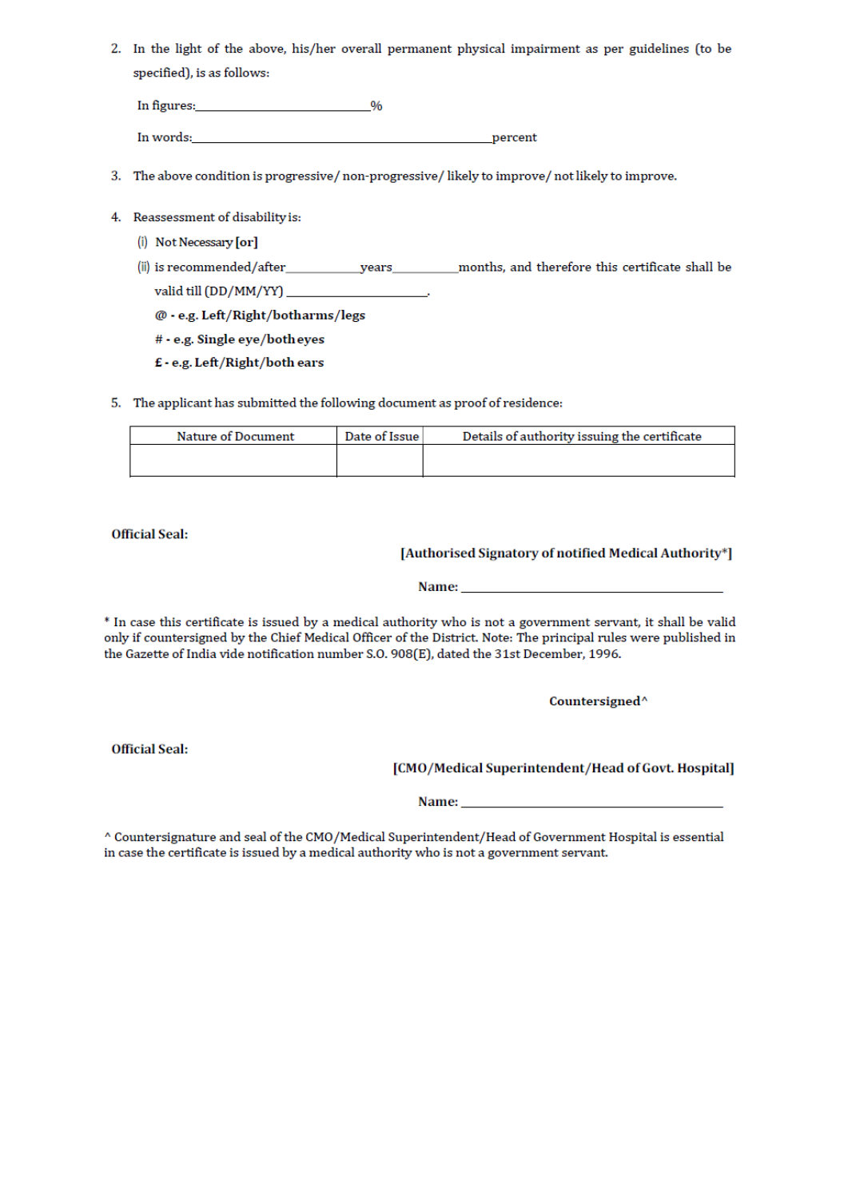2. In the light of the above, his/her overall permanent physical impairment as per guidelines (to be specified), is as follows:

In figures:  $\frac{1}{2}$   $\frac{1}{2}$   $\frac{1}{2}$   $\frac{1}{2}$   $\frac{1}{2}$   $\frac{1}{2}$   $\frac{1}{2}$   $\frac{1}{2}$   $\frac{1}{2}$   $\frac{1}{2}$   $\frac{1}{2}$   $\frac{1}{2}$   $\frac{1}{2}$   $\frac{1}{2}$   $\frac{1}{2}$   $\frac{1}{2}$   $\frac{1}{2}$   $\frac{1}{2}$   $\frac{1}{2}$   $\frac{1}{2}$   $\frac{1}{2}$ 

In words: The contract of the contract of the contract of the contract of the contract of the contract of the contract of the contract of the contract of the contract of the contract of the contract of the contract of the percent

- 3. The above condition is progressive/non-progressive/likely to improve/not likely to improve.
- 4. Reassessment of disability is:
	- (i) Not Necessary [or]
	- valid till (DD/MM/YY)

@ - e.g. Left/Right/botharms/legs

# - e.g. Single eye/both eyes

£ - e.g. Left/Right/both ears

5. The applicant has submitted the following document as proof of residence:

| Details of authority issuing the certificate | Date of Issue | <b>Nature of Document</b> |
|----------------------------------------------|---------------|---------------------------|
|                                              |               |                           |
|                                              |               |                           |

**Official Seal:** 

# [Authorised Signatory of notified Medical Authority\*]

Name:

\* In case this certificate is issued by a medical authority who is not a government servant, it shall be valid only if countersigned by the Chief Medical Officer of the District. Note: The principal rules were published in the Gazette of India vide notification number S.O. 908(E), dated the 31st December, 1996.

Countersigned<sup>^</sup>

**Official Seal:** 

[CMO/Medical Superintendent/Head of Govt. Hospital]

^ Countersignature and seal of the CMO/Medical Superintendent/Head of Government Hospital is essential in case the certificate is issued by a medical authority who is not a government servant.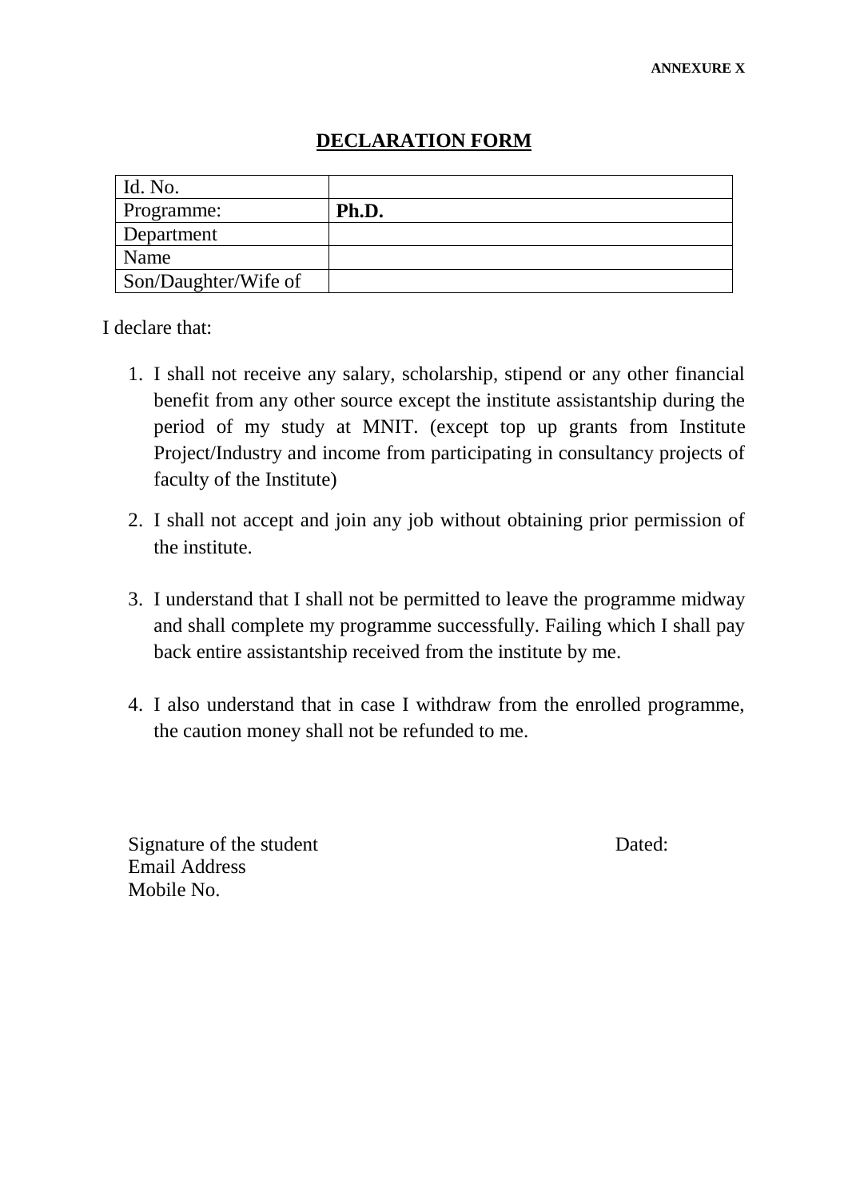# **DECLARATION FORM**

| Id. No.              |       |
|----------------------|-------|
| Programme:           | Ph.D. |
| Department           |       |
| Name                 |       |
| Son/Daughter/Wife of |       |

I declare that:

- 1. I shall not receive any salary, scholarship, stipend or any other financial benefit from any other source except the institute assistantship during the period of my study at MNIT. (except top up grants from Institute Project/Industry and income from participating in consultancy projects of faculty of the Institute)
- 2. I shall not accept and join any job without obtaining prior permission of the institute.
- 3. I understand that I shall not be permitted to leave the programme midway and shall complete my programme successfully. Failing which I shall pay back entire assistantship received from the institute by me.
- 4. I also understand that in case I withdraw from the enrolled programme, the caution money shall not be refunded to me.

Signature of the student Dated: Email Address Mobile No.